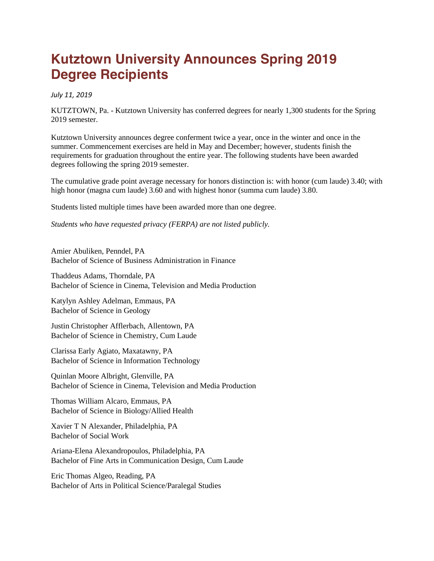## **Kutztown University Announces Spring 2019 Degree Recipients**

*July 11, 2019*

KUTZTOWN, Pa. - Kutztown University has conferred degrees for nearly 1,300 students for the Spring 2019 semester.

Kutztown University announces degree conferment twice a year, once in the winter and once in the summer. Commencement exercises are held in May and December; however, students finish the requirements for graduation throughout the entire year. The following students have been awarded degrees following the spring 2019 semester.

The cumulative grade point average necessary for honors distinction is: with honor (cum laude) 3.40; with high honor (magna cum laude) 3.60 and with highest honor (summa cum laude) 3.80.

Students listed multiple times have been awarded more than one degree.

*Students who have requested privacy (FERPA) are not listed publicly.*

Amier Abuliken, Penndel, PA Bachelor of Science of Business Administration in Finance

Thaddeus Adams, Thorndale, PA Bachelor of Science in Cinema, Television and Media Production

Katylyn Ashley Adelman, Emmaus, PA Bachelor of Science in Geology

Justin Christopher Afflerbach, Allentown, PA Bachelor of Science in Chemistry, Cum Laude

Clarissa Early Agiato, Maxatawny, PA Bachelor of Science in Information Technology

Quinlan Moore Albright, Glenville, PA Bachelor of Science in Cinema, Television and Media Production

Thomas William Alcaro, Emmaus, PA Bachelor of Science in Biology/Allied Health

Xavier T N Alexander, Philadelphia, PA Bachelor of Social Work

Ariana-Elena Alexandropoulos, Philadelphia, PA Bachelor of Fine Arts in Communication Design, Cum Laude

Eric Thomas Algeo, Reading, PA Bachelor of Arts in Political Science/Paralegal Studies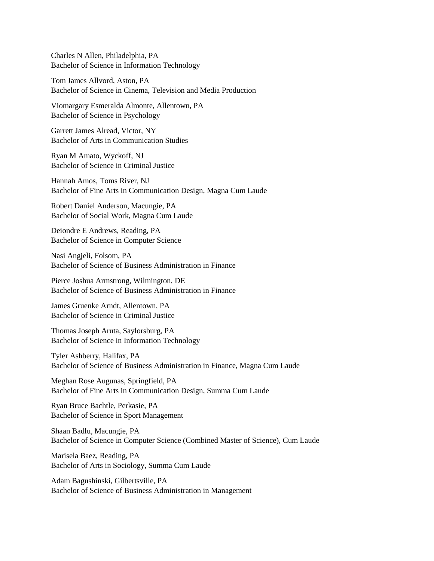Charles N Allen, Philadelphia, PA Bachelor of Science in Information Technology

Tom James Allvord, Aston, PA Bachelor of Science in Cinema, Television and Media Production

Viomargary Esmeralda Almonte, Allentown, PA Bachelor of Science in Psychology

Garrett James Alread, Victor, NY Bachelor of Arts in Communication Studies

Ryan M Amato, Wyckoff, NJ Bachelor of Science in Criminal Justice

Hannah Amos, Toms River, NJ Bachelor of Fine Arts in Communication Design, Magna Cum Laude

Robert Daniel Anderson, Macungie, PA Bachelor of Social Work, Magna Cum Laude

Deiondre E Andrews, Reading, PA Bachelor of Science in Computer Science

Nasi Angjeli, Folsom, PA Bachelor of Science of Business Administration in Finance

Pierce Joshua Armstrong, Wilmington, DE Bachelor of Science of Business Administration in Finance

James Gruenke Arndt, Allentown, PA Bachelor of Science in Criminal Justice

Thomas Joseph Aruta, Saylorsburg, PA Bachelor of Science in Information Technology

Tyler Ashberry, Halifax, PA Bachelor of Science of Business Administration in Finance, Magna Cum Laude

Meghan Rose Augunas, Springfield, PA Bachelor of Fine Arts in Communication Design, Summa Cum Laude

Ryan Bruce Bachtle, Perkasie, PA Bachelor of Science in Sport Management

Shaan Badlu, Macungie, PA Bachelor of Science in Computer Science (Combined Master of Science), Cum Laude

Marisela Baez, Reading, PA Bachelor of Arts in Sociology, Summa Cum Laude

Adam Bagushinski, Gilbertsville, PA Bachelor of Science of Business Administration in Management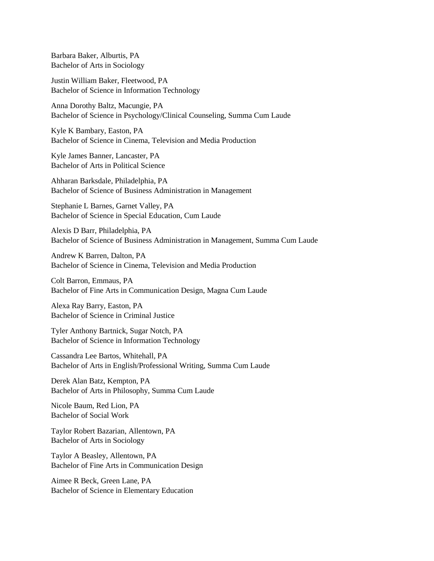Barbara Baker, Alburtis, PA Bachelor of Arts in Sociology

Justin William Baker, Fleetwood, PA Bachelor of Science in Information Technology

Anna Dorothy Baltz, Macungie, PA Bachelor of Science in Psychology/Clinical Counseling, Summa Cum Laude

Kyle K Bambary, Easton, PA Bachelor of Science in Cinema, Television and Media Production

Kyle James Banner, Lancaster, PA Bachelor of Arts in Political Science

Ahharan Barksdale, Philadelphia, PA Bachelor of Science of Business Administration in Management

Stephanie L Barnes, Garnet Valley, PA Bachelor of Science in Special Education, Cum Laude

Alexis D Barr, Philadelphia, PA Bachelor of Science of Business Administration in Management, Summa Cum Laude

Andrew K Barren, Dalton, PA Bachelor of Science in Cinema, Television and Media Production

Colt Barron, Emmaus, PA Bachelor of Fine Arts in Communication Design, Magna Cum Laude

Alexa Ray Barry, Easton, PA Bachelor of Science in Criminal Justice

Tyler Anthony Bartnick, Sugar Notch, PA Bachelor of Science in Information Technology

Cassandra Lee Bartos, Whitehall, PA Bachelor of Arts in English/Professional Writing, Summa Cum Laude

Derek Alan Batz, Kempton, PA Bachelor of Arts in Philosophy, Summa Cum Laude

Nicole Baum, Red Lion, PA Bachelor of Social Work

Taylor Robert Bazarian, Allentown, PA Bachelor of Arts in Sociology

Taylor A Beasley, Allentown, PA Bachelor of Fine Arts in Communication Design

Aimee R Beck, Green Lane, PA Bachelor of Science in Elementary Education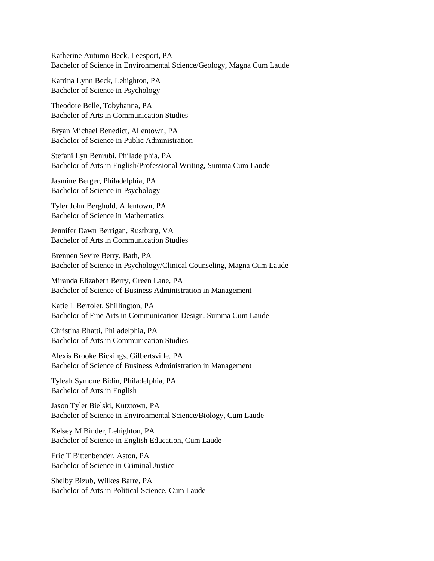Katherine Autumn Beck, Leesport, PA Bachelor of Science in Environmental Science/Geology, Magna Cum Laude

Katrina Lynn Beck, Lehighton, PA Bachelor of Science in Psychology

Theodore Belle, Tobyhanna, PA Bachelor of Arts in Communication Studies

Bryan Michael Benedict, Allentown, PA Bachelor of Science in Public Administration

Stefani Lyn Benrubi, Philadelphia, PA Bachelor of Arts in English/Professional Writing, Summa Cum Laude

Jasmine Berger, Philadelphia, PA Bachelor of Science in Psychology

Tyler John Berghold, Allentown, PA Bachelor of Science in Mathematics

Jennifer Dawn Berrigan, Rustburg, VA Bachelor of Arts in Communication Studies

Brennen Sevire Berry, Bath, PA Bachelor of Science in Psychology/Clinical Counseling, Magna Cum Laude

Miranda Elizabeth Berry, Green Lane, PA Bachelor of Science of Business Administration in Management

Katie L Bertolet, Shillington, PA Bachelor of Fine Arts in Communication Design, Summa Cum Laude

Christina Bhatti, Philadelphia, PA Bachelor of Arts in Communication Studies

Alexis Brooke Bickings, Gilbertsville, PA Bachelor of Science of Business Administration in Management

Tyleah Symone Bidin, Philadelphia, PA Bachelor of Arts in English

Jason Tyler Bielski, Kutztown, PA Bachelor of Science in Environmental Science/Biology, Cum Laude

Kelsey M Binder, Lehighton, PA Bachelor of Science in English Education, Cum Laude

Eric T Bittenbender, Aston, PA Bachelor of Science in Criminal Justice

Shelby Bizub, Wilkes Barre, PA Bachelor of Arts in Political Science, Cum Laude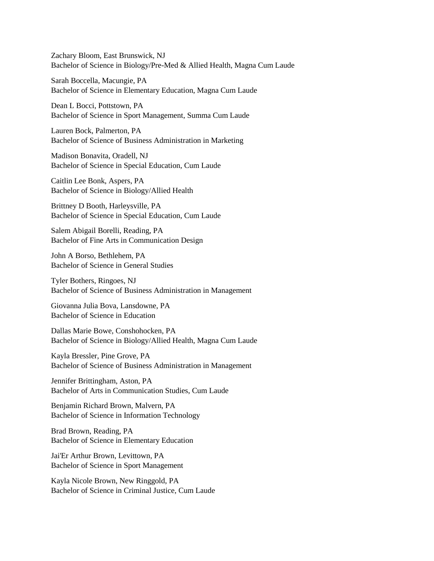Zachary Bloom, East Brunswick, NJ Bachelor of Science in Biology/Pre-Med & Allied Health, Magna Cum Laude

Sarah Boccella, Macungie, PA Bachelor of Science in Elementary Education, Magna Cum Laude

Dean L Bocci, Pottstown, PA Bachelor of Science in Sport Management, Summa Cum Laude

Lauren Bock, Palmerton, PA Bachelor of Science of Business Administration in Marketing

Madison Bonavita, Oradell, NJ Bachelor of Science in Special Education, Cum Laude

Caitlin Lee Bonk, Aspers, PA Bachelor of Science in Biology/Allied Health

Brittney D Booth, Harleysville, PA Bachelor of Science in Special Education, Cum Laude

Salem Abigail Borelli, Reading, PA Bachelor of Fine Arts in Communication Design

John A Borso, Bethlehem, PA Bachelor of Science in General Studies

Tyler Bothers, Ringoes, NJ Bachelor of Science of Business Administration in Management

Giovanna Julia Bova, Lansdowne, PA Bachelor of Science in Education

Dallas Marie Bowe, Conshohocken, PA Bachelor of Science in Biology/Allied Health, Magna Cum Laude

Kayla Bressler, Pine Grove, PA Bachelor of Science of Business Administration in Management

Jennifer Brittingham, Aston, PA Bachelor of Arts in Communication Studies, Cum Laude

Benjamin Richard Brown, Malvern, PA Bachelor of Science in Information Technology

Brad Brown, Reading, PA Bachelor of Science in Elementary Education

Jai'Er Arthur Brown, Levittown, PA Bachelor of Science in Sport Management

Kayla Nicole Brown, New Ringgold, PA Bachelor of Science in Criminal Justice, Cum Laude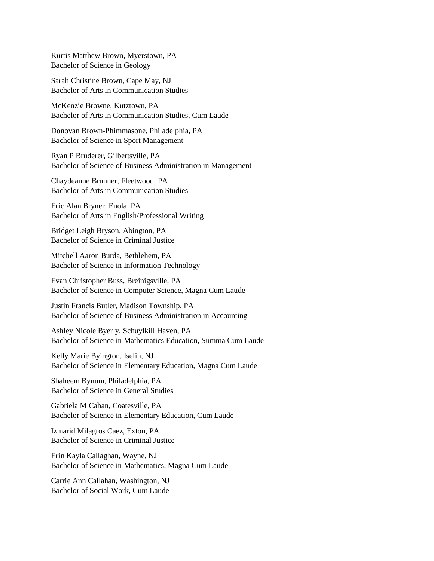Kurtis Matthew Brown, Myerstown, PA Bachelor of Science in Geology

Sarah Christine Brown, Cape May, NJ Bachelor of Arts in Communication Studies

McKenzie Browne, Kutztown, PA Bachelor of Arts in Communication Studies, Cum Laude

Donovan Brown-Phimmasone, Philadelphia, PA Bachelor of Science in Sport Management

Ryan P Bruderer, Gilbertsville, PA Bachelor of Science of Business Administration in Management

Chaydeanne Brunner, Fleetwood, PA Bachelor of Arts in Communication Studies

Eric Alan Bryner, Enola, PA Bachelor of Arts in English/Professional Writing

Bridget Leigh Bryson, Abington, PA Bachelor of Science in Criminal Justice

Mitchell Aaron Burda, Bethlehem, PA Bachelor of Science in Information Technology

Evan Christopher Buss, Breinigsville, PA Bachelor of Science in Computer Science, Magna Cum Laude

Justin Francis Butler, Madison Township, PA Bachelor of Science of Business Administration in Accounting

Ashley Nicole Byerly, Schuylkill Haven, PA Bachelor of Science in Mathematics Education, Summa Cum Laude

Kelly Marie Byington, Iselin, NJ Bachelor of Science in Elementary Education, Magna Cum Laude

Shaheem Bynum, Philadelphia, PA Bachelor of Science in General Studies

Gabriela M Caban, Coatesville, PA Bachelor of Science in Elementary Education, Cum Laude

Izmarid Milagros Caez, Exton, PA Bachelor of Science in Criminal Justice

Erin Kayla Callaghan, Wayne, NJ Bachelor of Science in Mathematics, Magna Cum Laude

Carrie Ann Callahan, Washington, NJ Bachelor of Social Work, Cum Laude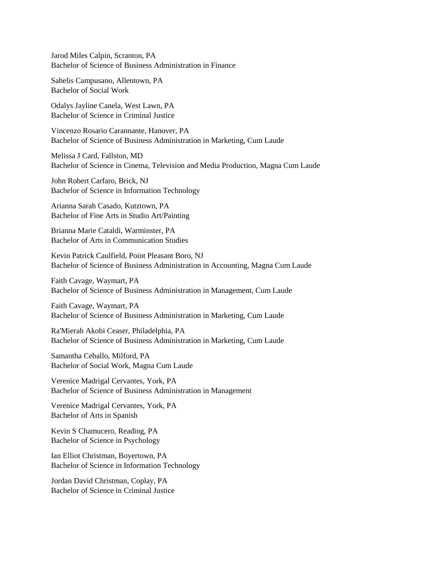Jarod Miles Calpin, Scranton, PA Bachelor of Science of Business Administration in Finance

Sahelis Campusano, Allentown, PA Bachelor of Social Work

Odalys Jayline Canela, West Lawn, PA Bachelor of Science in Criminal Justice

Vincenzo Rosario Carannante, Hanover, PA Bachelor of Science of Business Administration in Marketing, Cum Laude

Melissa J Card, Fallston, MD Bachelor of Science in Cinema, Television and Media Production, Magna Cum Laude

John Robert Carfaro, Brick, NJ Bachelor of Science in Information Technology

Arianna Sarah Casado, Kutztown, PA Bachelor of Fine Arts in Studio Art/Painting

Brianna Marie Cataldi, Warminster, PA Bachelor of Arts in Communication Studies

Kevin Patrick Caulfield, Point Pleasant Boro, NJ Bachelor of Science of Business Administration in Accounting, Magna Cum Laude

Faith Cavage, Waymart, PA Bachelor of Science of Business Administration in Management, Cum Laude

Faith Cavage, Waymart, PA Bachelor of Science of Business Administration in Marketing, Cum Laude

Ra'Mierah Akobi Ceaser, Philadelphia, PA Bachelor of Science of Business Administration in Marketing, Cum Laude

Samantha Ceballo, Milford, PA Bachelor of Social Work, Magna Cum Laude

Verenice Madrigal Cervantes, York, PA Bachelor of Science of Business Administration in Management

Verenice Madrigal Cervantes, York, PA Bachelor of Arts in Spanish

Kevin S Chamucero, Reading, PA Bachelor of Science in Psychology

Ian Elliot Christman, Boyertown, PA Bachelor of Science in Information Technology

Jordan David Christman, Coplay, PA Bachelor of Science in Criminal Justice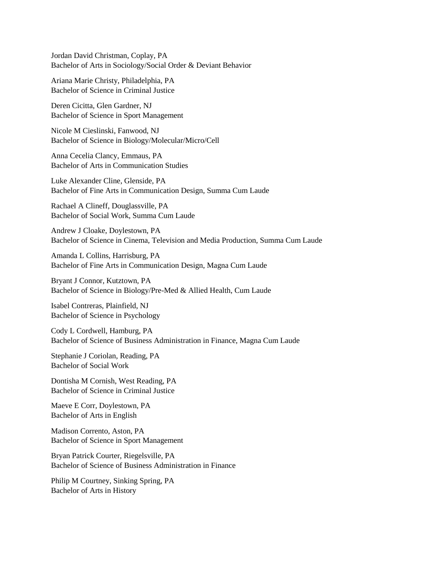Jordan David Christman, Coplay, PA Bachelor of Arts in Sociology/Social Order & Deviant Behavior

Ariana Marie Christy, Philadelphia, PA Bachelor of Science in Criminal Justice

Deren Cicitta, Glen Gardner, NJ Bachelor of Science in Sport Management

Nicole M Cieslinski, Fanwood, NJ Bachelor of Science in Biology/Molecular/Micro/Cell

Anna Cecelia Clancy, Emmaus, PA Bachelor of Arts in Communication Studies

Luke Alexander Cline, Glenside, PA Bachelor of Fine Arts in Communication Design, Summa Cum Laude

Rachael A Clineff, Douglassville, PA Bachelor of Social Work, Summa Cum Laude

Andrew J Cloake, Doylestown, PA Bachelor of Science in Cinema, Television and Media Production, Summa Cum Laude

Amanda L Collins, Harrisburg, PA Bachelor of Fine Arts in Communication Design, Magna Cum Laude

Bryant J Connor, Kutztown, PA Bachelor of Science in Biology/Pre-Med & Allied Health, Cum Laude

Isabel Contreras, Plainfield, NJ Bachelor of Science in Psychology

Cody L Cordwell, Hamburg, PA Bachelor of Science of Business Administration in Finance, Magna Cum Laude

Stephanie J Coriolan, Reading, PA Bachelor of Social Work

Dontisha M Cornish, West Reading, PA Bachelor of Science in Criminal Justice

Maeve E Corr, Doylestown, PA Bachelor of Arts in English

Madison Corrento, Aston, PA Bachelor of Science in Sport Management

Bryan Patrick Courter, Riegelsville, PA Bachelor of Science of Business Administration in Finance

Philip M Courtney, Sinking Spring, PA Bachelor of Arts in History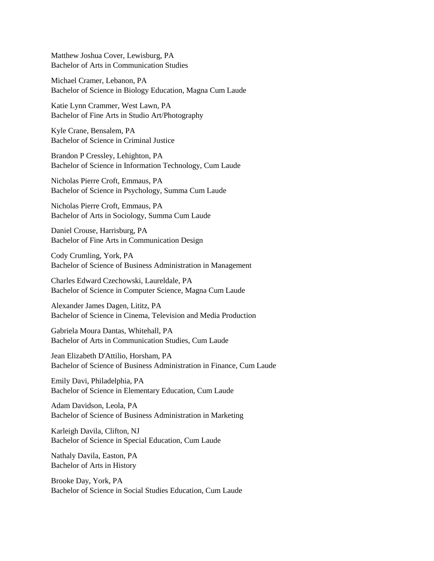Matthew Joshua Cover, Lewisburg, PA Bachelor of Arts in Communication Studies

Michael Cramer, Lebanon, PA Bachelor of Science in Biology Education, Magna Cum Laude

Katie Lynn Crammer, West Lawn, PA Bachelor of Fine Arts in Studio Art/Photography

Kyle Crane, Bensalem, PA Bachelor of Science in Criminal Justice

Brandon P Cressley, Lehighton, PA Bachelor of Science in Information Technology, Cum Laude

Nicholas Pierre Croft, Emmaus, PA Bachelor of Science in Psychology, Summa Cum Laude

Nicholas Pierre Croft, Emmaus, PA Bachelor of Arts in Sociology, Summa Cum Laude

Daniel Crouse, Harrisburg, PA Bachelor of Fine Arts in Communication Design

Cody Crumling, York, PA Bachelor of Science of Business Administration in Management

Charles Edward Czechowski, Laureldale, PA Bachelor of Science in Computer Science, Magna Cum Laude

Alexander James Dagen, Lititz, PA Bachelor of Science in Cinema, Television and Media Production

Gabriela Moura Dantas, Whitehall, PA Bachelor of Arts in Communication Studies, Cum Laude

Jean Elizabeth D'Attilio, Horsham, PA Bachelor of Science of Business Administration in Finance, Cum Laude

Emily Davi, Philadelphia, PA Bachelor of Science in Elementary Education, Cum Laude

Adam Davidson, Leola, PA Bachelor of Science of Business Administration in Marketing

Karleigh Davila, Clifton, NJ Bachelor of Science in Special Education, Cum Laude

Nathaly Davila, Easton, PA Bachelor of Arts in History

Brooke Day, York, PA Bachelor of Science in Social Studies Education, Cum Laude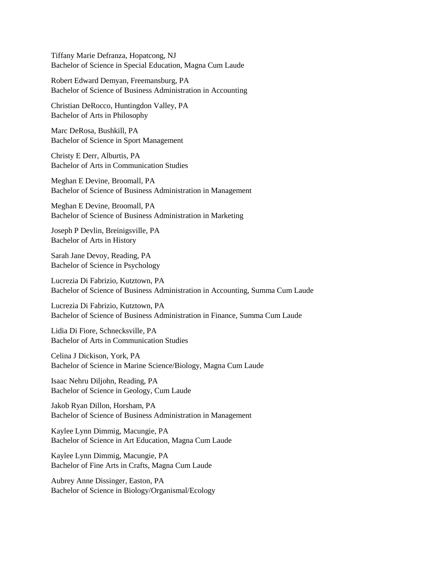Tiffany Marie Defranza, Hopatcong, NJ Bachelor of Science in Special Education, Magna Cum Laude

Robert Edward Demyan, Freemansburg, PA Bachelor of Science of Business Administration in Accounting

Christian DeRocco, Huntingdon Valley, PA Bachelor of Arts in Philosophy

Marc DeRosa, Bushkill, PA Bachelor of Science in Sport Management

Christy E Derr, Alburtis, PA Bachelor of Arts in Communication Studies

Meghan E Devine, Broomall, PA Bachelor of Science of Business Administration in Management

Meghan E Devine, Broomall, PA Bachelor of Science of Business Administration in Marketing

Joseph P Devlin, Breinigsville, PA Bachelor of Arts in History

Sarah Jane Devoy, Reading, PA Bachelor of Science in Psychology

Lucrezia Di Fabrizio, Kutztown, PA Bachelor of Science of Business Administration in Accounting, Summa Cum Laude

Lucrezia Di Fabrizio, Kutztown, PA Bachelor of Science of Business Administration in Finance, Summa Cum Laude

Lidia Di Fiore, Schnecksville, PA Bachelor of Arts in Communication Studies

Celina J Dickison, York, PA Bachelor of Science in Marine Science/Biology, Magna Cum Laude

Isaac Nehru Diljohn, Reading, PA Bachelor of Science in Geology, Cum Laude

Jakob Ryan Dillon, Horsham, PA Bachelor of Science of Business Administration in Management

Kaylee Lynn Dimmig, Macungie, PA Bachelor of Science in Art Education, Magna Cum Laude

Kaylee Lynn Dimmig, Macungie, PA Bachelor of Fine Arts in Crafts, Magna Cum Laude

Aubrey Anne Dissinger, Easton, PA Bachelor of Science in Biology/Organismal/Ecology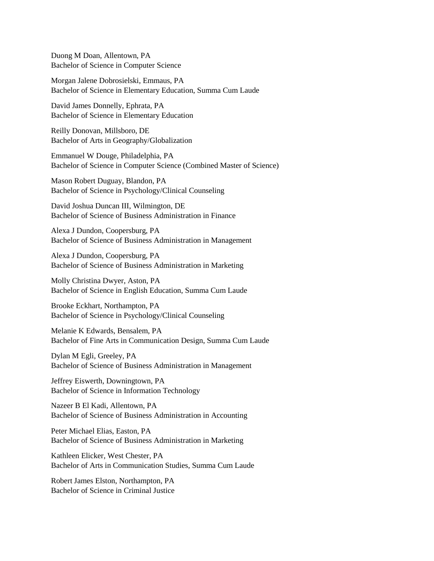Duong M Doan, Allentown, PA Bachelor of Science in Computer Science

Morgan Jalene Dobrosielski, Emmaus, PA Bachelor of Science in Elementary Education, Summa Cum Laude

David James Donnelly, Ephrata, PA Bachelor of Science in Elementary Education

Reilly Donovan, Millsboro, DE Bachelor of Arts in Geography/Globalization

Emmanuel W Douge, Philadelphia, PA Bachelor of Science in Computer Science (Combined Master of Science)

Mason Robert Duguay, Blandon, PA Bachelor of Science in Psychology/Clinical Counseling

David Joshua Duncan III, Wilmington, DE Bachelor of Science of Business Administration in Finance

Alexa J Dundon, Coopersburg, PA Bachelor of Science of Business Administration in Management

Alexa J Dundon, Coopersburg, PA Bachelor of Science of Business Administration in Marketing

Molly Christina Dwyer, Aston, PA Bachelor of Science in English Education, Summa Cum Laude

Brooke Eckhart, Northampton, PA Bachelor of Science in Psychology/Clinical Counseling

Melanie K Edwards, Bensalem, PA Bachelor of Fine Arts in Communication Design, Summa Cum Laude

Dylan M Egli, Greeley, PA Bachelor of Science of Business Administration in Management

Jeffrey Eiswerth, Downingtown, PA Bachelor of Science in Information Technology

Nazeer B El Kadi, Allentown, PA Bachelor of Science of Business Administration in Accounting

Peter Michael Elias, Easton, PA Bachelor of Science of Business Administration in Marketing

Kathleen Elicker, West Chester, PA Bachelor of Arts in Communication Studies, Summa Cum Laude

Robert James Elston, Northampton, PA Bachelor of Science in Criminal Justice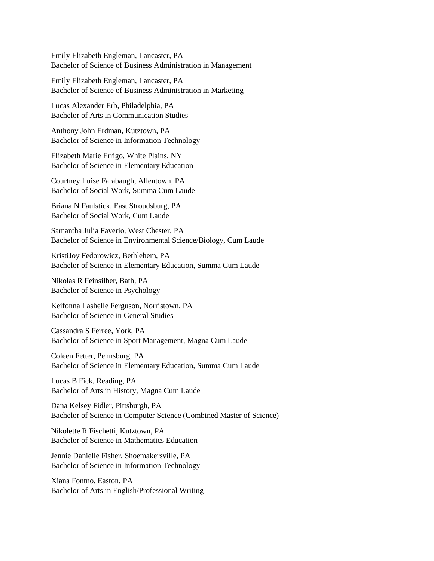Emily Elizabeth Engleman, Lancaster, PA Bachelor of Science of Business Administration in Management

Emily Elizabeth Engleman, Lancaster, PA Bachelor of Science of Business Administration in Marketing

Lucas Alexander Erb, Philadelphia, PA Bachelor of Arts in Communication Studies

Anthony John Erdman, Kutztown, PA Bachelor of Science in Information Technology

Elizabeth Marie Errigo, White Plains, NY Bachelor of Science in Elementary Education

Courtney Luise Farabaugh, Allentown, PA Bachelor of Social Work, Summa Cum Laude

Briana N Faulstick, East Stroudsburg, PA Bachelor of Social Work, Cum Laude

Samantha Julia Faverio, West Chester, PA Bachelor of Science in Environmental Science/Biology, Cum Laude

KristiJoy Fedorowicz, Bethlehem, PA Bachelor of Science in Elementary Education, Summa Cum Laude

Nikolas R Feinsilber, Bath, PA Bachelor of Science in Psychology

Keifonna Lashelle Ferguson, Norristown, PA Bachelor of Science in General Studies

Cassandra S Ferree, York, PA Bachelor of Science in Sport Management, Magna Cum Laude

Coleen Fetter, Pennsburg, PA Bachelor of Science in Elementary Education, Summa Cum Laude

Lucas B Fick, Reading, PA Bachelor of Arts in History, Magna Cum Laude

Dana Kelsey Fidler, Pittsburgh, PA Bachelor of Science in Computer Science (Combined Master of Science)

Nikolette R Fischetti, Kutztown, PA Bachelor of Science in Mathematics Education

Jennie Danielle Fisher, Shoemakersville, PA Bachelor of Science in Information Technology

Xiana Fontno, Easton, PA Bachelor of Arts in English/Professional Writing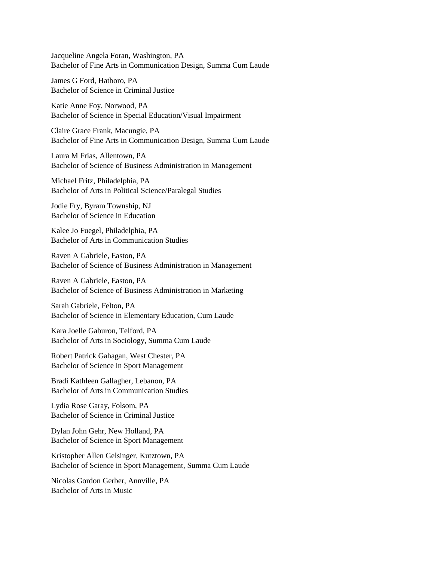Jacqueline Angela Foran, Washington, PA Bachelor of Fine Arts in Communication Design, Summa Cum Laude

James G Ford, Hatboro, PA Bachelor of Science in Criminal Justice

Katie Anne Foy, Norwood, PA Bachelor of Science in Special Education/Visual Impairment

Claire Grace Frank, Macungie, PA Bachelor of Fine Arts in Communication Design, Summa Cum Laude

Laura M Frias, Allentown, PA Bachelor of Science of Business Administration in Management

Michael Fritz, Philadelphia, PA Bachelor of Arts in Political Science/Paralegal Studies

Jodie Fry, Byram Township, NJ Bachelor of Science in Education

Kalee Jo Fuegel, Philadelphia, PA Bachelor of Arts in Communication Studies

Raven A Gabriele, Easton, PA Bachelor of Science of Business Administration in Management

Raven A Gabriele, Easton, PA Bachelor of Science of Business Administration in Marketing

Sarah Gabriele, Felton, PA Bachelor of Science in Elementary Education, Cum Laude

Kara Joelle Gaburon, Telford, PA Bachelor of Arts in Sociology, Summa Cum Laude

Robert Patrick Gahagan, West Chester, PA Bachelor of Science in Sport Management

Bradi Kathleen Gallagher, Lebanon, PA Bachelor of Arts in Communication Studies

Lydia Rose Garay, Folsom, PA Bachelor of Science in Criminal Justice

Dylan John Gehr, New Holland, PA Bachelor of Science in Sport Management

Kristopher Allen Gelsinger, Kutztown, PA Bachelor of Science in Sport Management, Summa Cum Laude

Nicolas Gordon Gerber, Annville, PA Bachelor of Arts in Music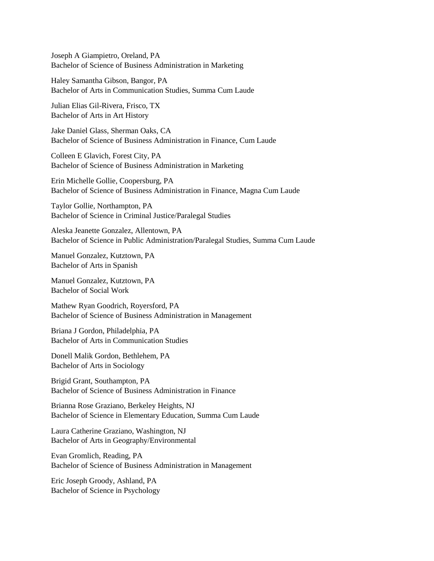Joseph A Giampietro, Oreland, PA Bachelor of Science of Business Administration in Marketing

Haley Samantha Gibson, Bangor, PA Bachelor of Arts in Communication Studies, Summa Cum Laude

Julian Elias Gil-Rivera, Frisco, TX Bachelor of Arts in Art History

Jake Daniel Glass, Sherman Oaks, CA Bachelor of Science of Business Administration in Finance, Cum Laude

Colleen E Glavich, Forest City, PA Bachelor of Science of Business Administration in Marketing

Erin Michelle Gollie, Coopersburg, PA Bachelor of Science of Business Administration in Finance, Magna Cum Laude

Taylor Gollie, Northampton, PA Bachelor of Science in Criminal Justice/Paralegal Studies

Aleska Jeanette Gonzalez, Allentown, PA Bachelor of Science in Public Administration/Paralegal Studies, Summa Cum Laude

Manuel Gonzalez, Kutztown, PA Bachelor of Arts in Spanish

Manuel Gonzalez, Kutztown, PA Bachelor of Social Work

Mathew Ryan Goodrich, Royersford, PA Bachelor of Science of Business Administration in Management

Briana J Gordon, Philadelphia, PA Bachelor of Arts in Communication Studies

Donell Malik Gordon, Bethlehem, PA Bachelor of Arts in Sociology

Brigid Grant, Southampton, PA Bachelor of Science of Business Administration in Finance

Brianna Rose Graziano, Berkeley Heights, NJ Bachelor of Science in Elementary Education, Summa Cum Laude

Laura Catherine Graziano, Washington, NJ Bachelor of Arts in Geography/Environmental

Evan Gromlich, Reading, PA Bachelor of Science of Business Administration in Management

Eric Joseph Groody, Ashland, PA Bachelor of Science in Psychology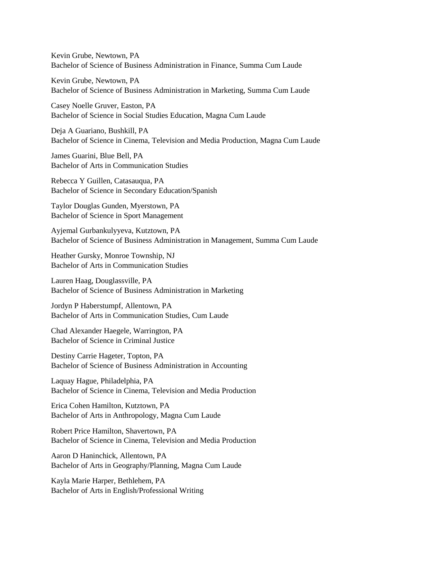Kevin Grube, Newtown, PA Bachelor of Science of Business Administration in Finance, Summa Cum Laude

Kevin Grube, Newtown, PA Bachelor of Science of Business Administration in Marketing, Summa Cum Laude

Casey Noelle Gruver, Easton, PA Bachelor of Science in Social Studies Education, Magna Cum Laude

Deja A Guariano, Bushkill, PA Bachelor of Science in Cinema, Television and Media Production, Magna Cum Laude

James Guarini, Blue Bell, PA Bachelor of Arts in Communication Studies

Rebecca Y Guillen, Catasauqua, PA Bachelor of Science in Secondary Education/Spanish

Taylor Douglas Gunden, Myerstown, PA Bachelor of Science in Sport Management

Ayjemal Gurbankulyyeva, Kutztown, PA Bachelor of Science of Business Administration in Management, Summa Cum Laude

Heather Gursky, Monroe Township, NJ Bachelor of Arts in Communication Studies

Lauren Haag, Douglassville, PA Bachelor of Science of Business Administration in Marketing

Jordyn P Haberstumpf, Allentown, PA Bachelor of Arts in Communication Studies, Cum Laude

Chad Alexander Haegele, Warrington, PA Bachelor of Science in Criminal Justice

Destiny Carrie Hageter, Topton, PA Bachelor of Science of Business Administration in Accounting

Laquay Hague, Philadelphia, PA Bachelor of Science in Cinema, Television and Media Production

Erica Cohen Hamilton, Kutztown, PA Bachelor of Arts in Anthropology, Magna Cum Laude

Robert Price Hamilton, Shavertown, PA Bachelor of Science in Cinema, Television and Media Production

Aaron D Haninchick, Allentown, PA Bachelor of Arts in Geography/Planning, Magna Cum Laude

Kayla Marie Harper, Bethlehem, PA Bachelor of Arts in English/Professional Writing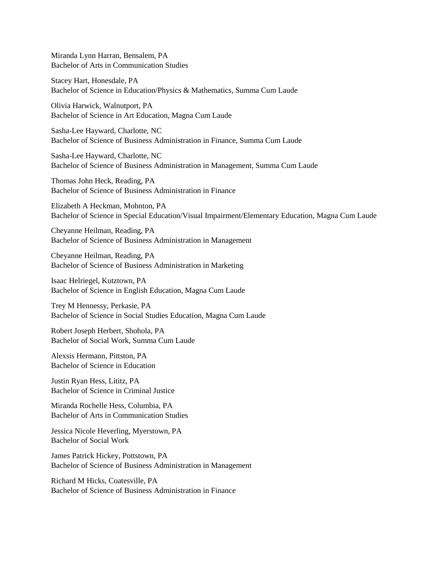Miranda Lynn Harran, Bensalem, PA Bachelor of Arts in Communication Studies

Stacey Hart, Honesdale, PA Bachelor of Science in Education/Physics & Mathematics, Summa Cum Laude

Olivia Harwick, Walnutport, PA Bachelor of Science in Art Education, Magna Cum Laude

Sasha-Lee Hayward, Charlotte, NC Bachelor of Science of Business Administration in Finance, Summa Cum Laude

Sasha-Lee Hayward, Charlotte, NC Bachelor of Science of Business Administration in Management, Summa Cum Laude

Thomas John Heck, Reading, PA Bachelor of Science of Business Administration in Finance

Elizabeth A Heckman, Mohnton, PA Bachelor of Science in Special Education/Visual Impairment/Elementary Education, Magna Cum Laude

Cheyanne Heilman, Reading, PA Bachelor of Science of Business Administration in Management

Cheyanne Heilman, Reading, PA Bachelor of Science of Business Administration in Marketing

Isaac Helriegel, Kutztown, PA Bachelor of Science in English Education, Magna Cum Laude

Trey M Hennessy, Perkasie, PA Bachelor of Science in Social Studies Education, Magna Cum Laude

Robert Joseph Herbert, Shohola, PA Bachelor of Social Work, Summa Cum Laude

Alexsis Hermann, Pittston, PA Bachelor of Science in Education

Justin Ryan Hess, Lititz, PA Bachelor of Science in Criminal Justice

Miranda Rochelle Hess, Columbia, PA Bachelor of Arts in Communication Studies

Jessica Nicole Heverling, Myerstown, PA Bachelor of Social Work

James Patrick Hickey, Pottstown, PA Bachelor of Science of Business Administration in Management

Richard M Hicks, Coatesville, PA Bachelor of Science of Business Administration in Finance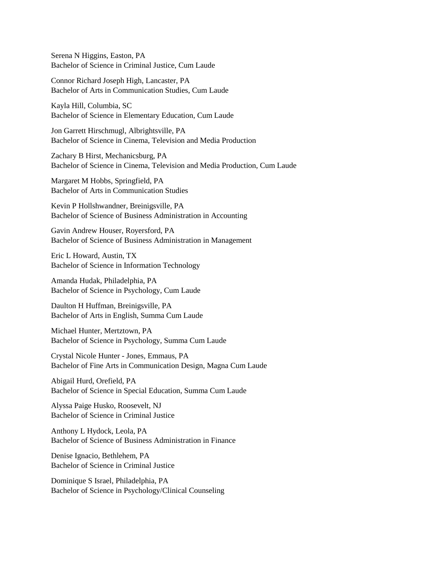Serena N Higgins, Easton, PA Bachelor of Science in Criminal Justice, Cum Laude

Connor Richard Joseph High, Lancaster, PA Bachelor of Arts in Communication Studies, Cum Laude

Kayla Hill, Columbia, SC Bachelor of Science in Elementary Education, Cum Laude

Jon Garrett Hirschmugl, Albrightsville, PA Bachelor of Science in Cinema, Television and Media Production

Zachary B Hirst, Mechanicsburg, PA Bachelor of Science in Cinema, Television and Media Production, Cum Laude

Margaret M Hobbs, Springfield, PA Bachelor of Arts in Communication Studies

Kevin P Hollshwandner, Breinigsville, PA Bachelor of Science of Business Administration in Accounting

Gavin Andrew Houser, Royersford, PA Bachelor of Science of Business Administration in Management

Eric L Howard, Austin, TX Bachelor of Science in Information Technology

Amanda Hudak, Philadelphia, PA Bachelor of Science in Psychology, Cum Laude

Daulton H Huffman, Breinigsville, PA Bachelor of Arts in English, Summa Cum Laude

Michael Hunter, Mertztown, PA Bachelor of Science in Psychology, Summa Cum Laude

Crystal Nicole Hunter - Jones, Emmaus, PA Bachelor of Fine Arts in Communication Design, Magna Cum Laude

Abigail Hurd, Orefield, PA Bachelor of Science in Special Education, Summa Cum Laude

Alyssa Paige Husko, Roosevelt, NJ Bachelor of Science in Criminal Justice

Anthony L Hydock, Leola, PA Bachelor of Science of Business Administration in Finance

Denise Ignacio, Bethlehem, PA Bachelor of Science in Criminal Justice

Dominique S Israel, Philadelphia, PA Bachelor of Science in Psychology/Clinical Counseling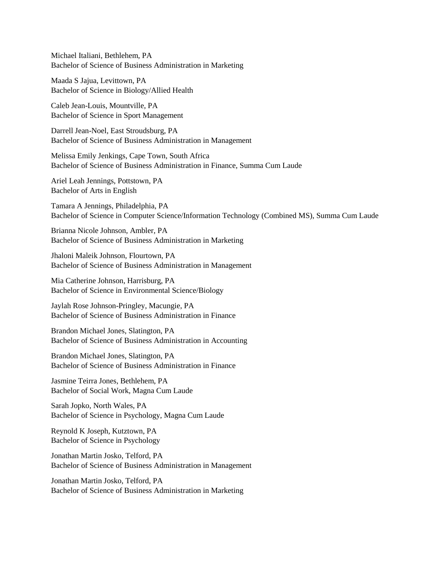Michael Italiani, Bethlehem, PA Bachelor of Science of Business Administration in Marketing

Maada S Jajua, Levittown, PA Bachelor of Science in Biology/Allied Health

Caleb Jean-Louis, Mountville, PA Bachelor of Science in Sport Management

Darrell Jean-Noel, East Stroudsburg, PA Bachelor of Science of Business Administration in Management

Melissa Emily Jenkings, Cape Town, South Africa Bachelor of Science of Business Administration in Finance, Summa Cum Laude

Ariel Leah Jennings, Pottstown, PA Bachelor of Arts in English

Tamara A Jennings, Philadelphia, PA Bachelor of Science in Computer Science/Information Technology (Combined MS), Summa Cum Laude

Brianna Nicole Johnson, Ambler, PA Bachelor of Science of Business Administration in Marketing

Jhaloni Maleik Johnson, Flourtown, PA Bachelor of Science of Business Administration in Management

Mia Catherine Johnson, Harrisburg, PA Bachelor of Science in Environmental Science/Biology

Jaylah Rose Johnson-Pringley, Macungie, PA Bachelor of Science of Business Administration in Finance

Brandon Michael Jones, Slatington, PA Bachelor of Science of Business Administration in Accounting

Brandon Michael Jones, Slatington, PA Bachelor of Science of Business Administration in Finance

Jasmine Teirra Jones, Bethlehem, PA Bachelor of Social Work, Magna Cum Laude

Sarah Jopko, North Wales, PA Bachelor of Science in Psychology, Magna Cum Laude

Reynold K Joseph, Kutztown, PA Bachelor of Science in Psychology

Jonathan Martin Josko, Telford, PA Bachelor of Science of Business Administration in Management

Jonathan Martin Josko, Telford, PA Bachelor of Science of Business Administration in Marketing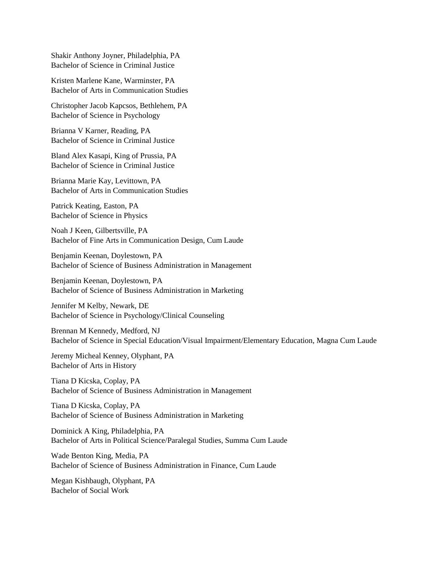Shakir Anthony Joyner, Philadelphia, PA Bachelor of Science in Criminal Justice

Kristen Marlene Kane, Warminster, PA Bachelor of Arts in Communication Studies

Christopher Jacob Kapcsos, Bethlehem, PA Bachelor of Science in Psychology

Brianna V Karner, Reading, PA Bachelor of Science in Criminal Justice

Bland Alex Kasapi, King of Prussia, PA Bachelor of Science in Criminal Justice

Brianna Marie Kay, Levittown, PA Bachelor of Arts in Communication Studies

Patrick Keating, Easton, PA Bachelor of Science in Physics

Noah J Keen, Gilbertsville, PA Bachelor of Fine Arts in Communication Design, Cum Laude

Benjamin Keenan, Doylestown, PA Bachelor of Science of Business Administration in Management

Benjamin Keenan, Doylestown, PA Bachelor of Science of Business Administration in Marketing

Jennifer M Kelby, Newark, DE Bachelor of Science in Psychology/Clinical Counseling

Brennan M Kennedy, Medford, NJ Bachelor of Science in Special Education/Visual Impairment/Elementary Education, Magna Cum Laude

Jeremy Micheal Kenney, Olyphant, PA Bachelor of Arts in History

Tiana D Kicska, Coplay, PA Bachelor of Science of Business Administration in Management

Tiana D Kicska, Coplay, PA Bachelor of Science of Business Administration in Marketing

Dominick A King, Philadelphia, PA Bachelor of Arts in Political Science/Paralegal Studies, Summa Cum Laude

Wade Benton King, Media, PA Bachelor of Science of Business Administration in Finance, Cum Laude

Megan Kishbaugh, Olyphant, PA Bachelor of Social Work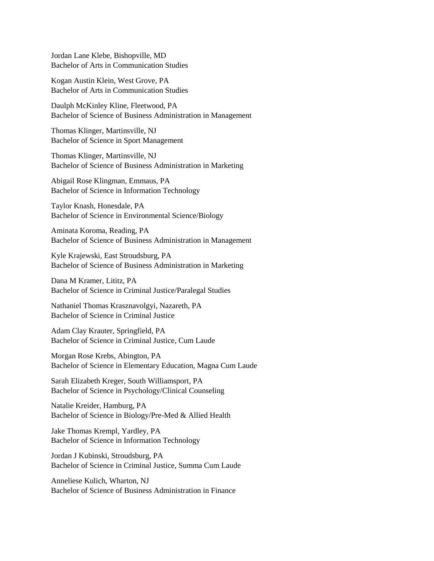Jordan Lane Klebe, Bishopville, MD Bachelor of Arts in Communication Studies

Kogan Austin Klein, West Grove, PA Bachelor of Arts in Communication Studies

Daulph McKinley Kline, Fleetwood, PA Bachelor of Science of Business Administration in Management

Thomas Klinger, Martinsville, NJ Bachelor of Science in Sport Management

Thomas Klinger, Martinsville, NJ Bachelor of Science of Business Administration in Marketing

Abigail Rose Klingman, Emmaus, PA Bachelor of Science in Information Technology

Taylor Knash, Honesdale, PA Bachelor of Science in Environmental Science/Biology

Aminata Koroma, Reading, PA Bachelor of Science of Business Administration in Management

Kyle Krajewski, East Stroudsburg, PA Bachelor of Science of Business Administration in Marketing

Dana M Kramer, Lititz, PA Bachelor of Science in Criminal Justice/Paralegal Studies

Nathaniel Thomas Krasznavolgyi, Nazareth, PA Bachelor of Science in Criminal Justice

Adam Clay Krauter, Springfield, PA Bachelor of Science in Criminal Justice, Cum Laude

Morgan Rose Krebs, Abington, PA Bachelor of Science in Elementary Education, Magna Cum Laude

Sarah Elizabeth Kreger, South Williamsport, PA Bachelor of Science in Psychology/Clinical Counseling

Natalie Kreider, Hamburg, PA Bachelor of Science in Biology/Pre-Med & Allied Health

Jake Thomas Krempl, Yardley, PA Bachelor of Science in Information Technology

Jordan J Kubinski, Stroudsburg, PA Bachelor of Science in Criminal Justice, Summa Cum Laude

Anneliese Kulich, Wharton, NJ Bachelor of Science of Business Administration in Finance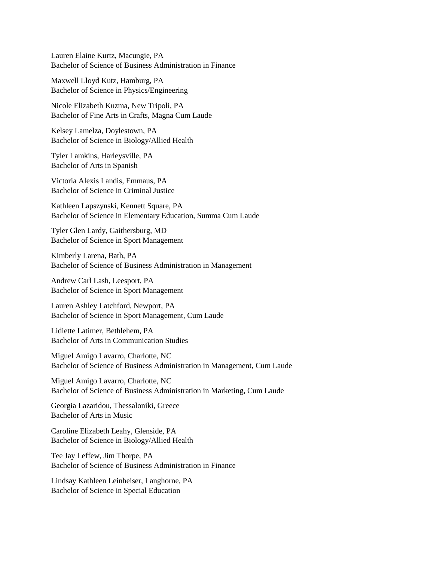Lauren Elaine Kurtz, Macungie, PA Bachelor of Science of Business Administration in Finance

Maxwell Lloyd Kutz, Hamburg, PA Bachelor of Science in Physics/Engineering

Nicole Elizabeth Kuzma, New Tripoli, PA Bachelor of Fine Arts in Crafts, Magna Cum Laude

Kelsey Lamelza, Doylestown, PA Bachelor of Science in Biology/Allied Health

Tyler Lamkins, Harleysville, PA Bachelor of Arts in Spanish

Victoria Alexis Landis, Emmaus, PA Bachelor of Science in Criminal Justice

Kathleen Lapszynski, Kennett Square, PA Bachelor of Science in Elementary Education, Summa Cum Laude

Tyler Glen Lardy, Gaithersburg, MD Bachelor of Science in Sport Management

Kimberly Larena, Bath, PA Bachelor of Science of Business Administration in Management

Andrew Carl Lash, Leesport, PA Bachelor of Science in Sport Management

Lauren Ashley Latchford, Newport, PA Bachelor of Science in Sport Management, Cum Laude

Lidiette Latimer, Bethlehem, PA Bachelor of Arts in Communication Studies

Miguel Amigo Lavarro, Charlotte, NC Bachelor of Science of Business Administration in Management, Cum Laude

Miguel Amigo Lavarro, Charlotte, NC Bachelor of Science of Business Administration in Marketing, Cum Laude

Georgia Lazaridou, Thessaloniki, Greece Bachelor of Arts in Music

Caroline Elizabeth Leahy, Glenside, PA Bachelor of Science in Biology/Allied Health

Tee Jay Leffew, Jim Thorpe, PA Bachelor of Science of Business Administration in Finance

Lindsay Kathleen Leinheiser, Langhorne, PA Bachelor of Science in Special Education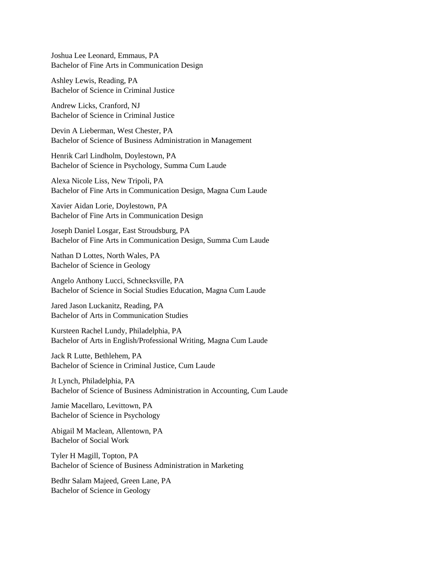Joshua Lee Leonard, Emmaus, PA Bachelor of Fine Arts in Communication Design

Ashley Lewis, Reading, PA Bachelor of Science in Criminal Justice

Andrew Licks, Cranford, NJ Bachelor of Science in Criminal Justice

Devin A Lieberman, West Chester, PA Bachelor of Science of Business Administration in Management

Henrik Carl Lindholm, Doylestown, PA Bachelor of Science in Psychology, Summa Cum Laude

Alexa Nicole Liss, New Tripoli, PA Bachelor of Fine Arts in Communication Design, Magna Cum Laude

Xavier Aidan Lorie, Doylestown, PA Bachelor of Fine Arts in Communication Design

Joseph Daniel Losgar, East Stroudsburg, PA Bachelor of Fine Arts in Communication Design, Summa Cum Laude

Nathan D Lottes, North Wales, PA Bachelor of Science in Geology

Angelo Anthony Lucci, Schnecksville, PA Bachelor of Science in Social Studies Education, Magna Cum Laude

Jared Jason Luckanitz, Reading, PA Bachelor of Arts in Communication Studies

Kursteen Rachel Lundy, Philadelphia, PA Bachelor of Arts in English/Professional Writing, Magna Cum Laude

Jack R Lutte, Bethlehem, PA Bachelor of Science in Criminal Justice, Cum Laude

Jt Lynch, Philadelphia, PA Bachelor of Science of Business Administration in Accounting, Cum Laude

Jamie Macellaro, Levittown, PA Bachelor of Science in Psychology

Abigail M Maclean, Allentown, PA Bachelor of Social Work

Tyler H Magill, Topton, PA Bachelor of Science of Business Administration in Marketing

Bedhr Salam Majeed, Green Lane, PA Bachelor of Science in Geology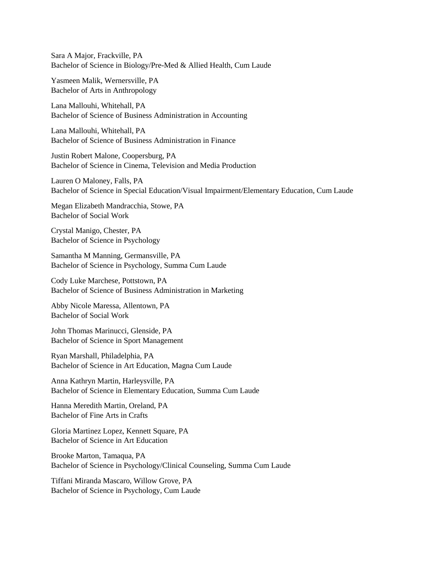Sara A Major, Frackville, PA Bachelor of Science in Biology/Pre-Med & Allied Health, Cum Laude

Yasmeen Malik, Wernersville, PA Bachelor of Arts in Anthropology

Lana Mallouhi, Whitehall, PA Bachelor of Science of Business Administration in Accounting

Lana Mallouhi, Whitehall, PA Bachelor of Science of Business Administration in Finance

Justin Robert Malone, Coopersburg, PA Bachelor of Science in Cinema, Television and Media Production

Lauren O Maloney, Falls, PA Bachelor of Science in Special Education/Visual Impairment/Elementary Education, Cum Laude

Megan Elizabeth Mandracchia, Stowe, PA Bachelor of Social Work

Crystal Manigo, Chester, PA Bachelor of Science in Psychology

Samantha M Manning, Germansville, PA Bachelor of Science in Psychology, Summa Cum Laude

Cody Luke Marchese, Pottstown, PA Bachelor of Science of Business Administration in Marketing

Abby Nicole Maressa, Allentown, PA Bachelor of Social Work

John Thomas Marinucci, Glenside, PA Bachelor of Science in Sport Management

Ryan Marshall, Philadelphia, PA Bachelor of Science in Art Education, Magna Cum Laude

Anna Kathryn Martin, Harleysville, PA Bachelor of Science in Elementary Education, Summa Cum Laude

Hanna Meredith Martin, Oreland, PA Bachelor of Fine Arts in Crafts

Gloria Martinez Lopez, Kennett Square, PA Bachelor of Science in Art Education

Brooke Marton, Tamaqua, PA Bachelor of Science in Psychology/Clinical Counseling, Summa Cum Laude

Tiffani Miranda Mascaro, Willow Grove, PA Bachelor of Science in Psychology, Cum Laude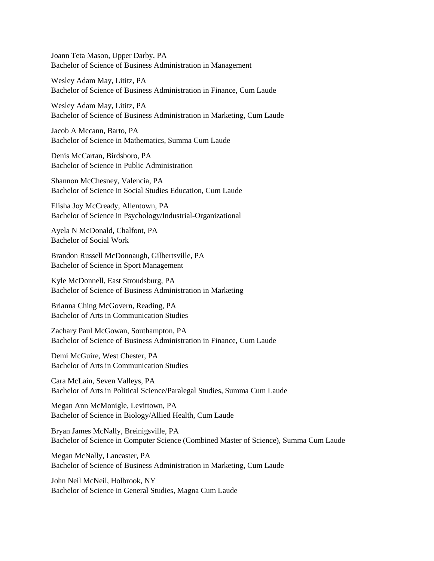Joann Teta Mason, Upper Darby, PA Bachelor of Science of Business Administration in Management

Wesley Adam May, Lititz, PA Bachelor of Science of Business Administration in Finance, Cum Laude

Wesley Adam May, Lititz, PA Bachelor of Science of Business Administration in Marketing, Cum Laude

Jacob A Mccann, Barto, PA Bachelor of Science in Mathematics, Summa Cum Laude

Denis McCartan, Birdsboro, PA Bachelor of Science in Public Administration

Shannon McChesney, Valencia, PA Bachelor of Science in Social Studies Education, Cum Laude

Elisha Joy McCready, Allentown, PA Bachelor of Science in Psychology/Industrial-Organizational

Ayela N McDonald, Chalfont, PA Bachelor of Social Work

Brandon Russell McDonnaugh, Gilbertsville, PA Bachelor of Science in Sport Management

Kyle McDonnell, East Stroudsburg, PA Bachelor of Science of Business Administration in Marketing

Brianna Ching McGovern, Reading, PA Bachelor of Arts in Communication Studies

Zachary Paul McGowan, Southampton, PA Bachelor of Science of Business Administration in Finance, Cum Laude

Demi McGuire, West Chester, PA Bachelor of Arts in Communication Studies

Cara McLain, Seven Valleys, PA Bachelor of Arts in Political Science/Paralegal Studies, Summa Cum Laude

Megan Ann McMonigle, Levittown, PA Bachelor of Science in Biology/Allied Health, Cum Laude

Bryan James McNally, Breinigsville, PA Bachelor of Science in Computer Science (Combined Master of Science), Summa Cum Laude

Megan McNally, Lancaster, PA Bachelor of Science of Business Administration in Marketing, Cum Laude

John Neil McNeil, Holbrook, NY Bachelor of Science in General Studies, Magna Cum Laude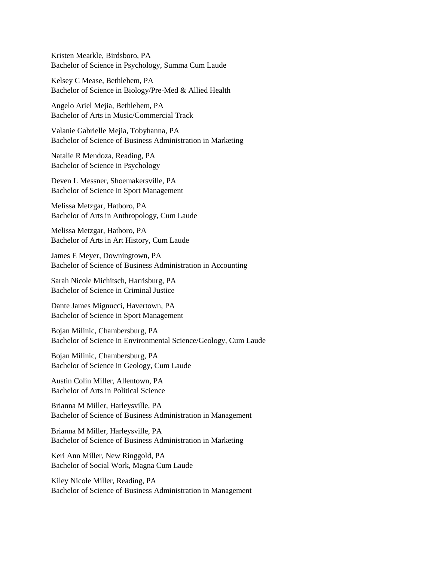Kristen Mearkle, Birdsboro, PA Bachelor of Science in Psychology, Summa Cum Laude

Kelsey C Mease, Bethlehem, PA Bachelor of Science in Biology/Pre-Med & Allied Health

Angelo Ariel Mejia, Bethlehem, PA Bachelor of Arts in Music/Commercial Track

Valanie Gabrielle Mejia, Tobyhanna, PA Bachelor of Science of Business Administration in Marketing

Natalie R Mendoza, Reading, PA Bachelor of Science in Psychology

Deven L Messner, Shoemakersville, PA Bachelor of Science in Sport Management

Melissa Metzgar, Hatboro, PA Bachelor of Arts in Anthropology, Cum Laude

Melissa Metzgar, Hatboro, PA Bachelor of Arts in Art History, Cum Laude

James E Meyer, Downingtown, PA Bachelor of Science of Business Administration in Accounting

Sarah Nicole Michitsch, Harrisburg, PA Bachelor of Science in Criminal Justice

Dante James Mignucci, Havertown, PA Bachelor of Science in Sport Management

Bojan Milinic, Chambersburg, PA Bachelor of Science in Environmental Science/Geology, Cum Laude

Bojan Milinic, Chambersburg, PA Bachelor of Science in Geology, Cum Laude

Austin Colin Miller, Allentown, PA Bachelor of Arts in Political Science

Brianna M Miller, Harleysville, PA Bachelor of Science of Business Administration in Management

Brianna M Miller, Harleysville, PA Bachelor of Science of Business Administration in Marketing

Keri Ann Miller, New Ringgold, PA Bachelor of Social Work, Magna Cum Laude

Kiley Nicole Miller, Reading, PA Bachelor of Science of Business Administration in Management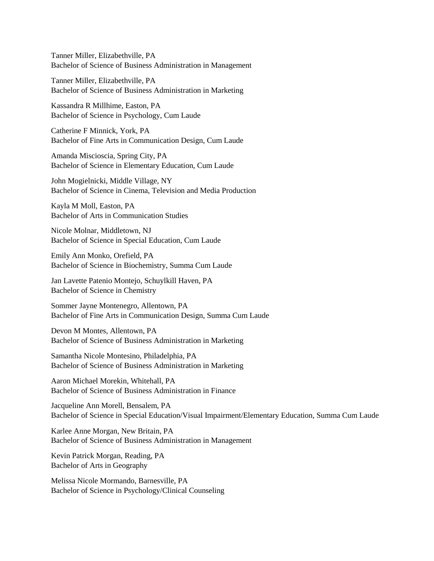Tanner Miller, Elizabethville, PA Bachelor of Science of Business Administration in Management

Tanner Miller, Elizabethville, PA Bachelor of Science of Business Administration in Marketing

Kassandra R Millhime, Easton, PA Bachelor of Science in Psychology, Cum Laude

Catherine F Minnick, York, PA Bachelor of Fine Arts in Communication Design, Cum Laude

Amanda Miscioscia, Spring City, PA Bachelor of Science in Elementary Education, Cum Laude

John Mogielnicki, Middle Village, NY Bachelor of Science in Cinema, Television and Media Production

Kayla M Moll, Easton, PA Bachelor of Arts in Communication Studies

Nicole Molnar, Middletown, NJ Bachelor of Science in Special Education, Cum Laude

Emily Ann Monko, Orefield, PA Bachelor of Science in Biochemistry, Summa Cum Laude

Jan Lavette Patenio Montejo, Schuylkill Haven, PA Bachelor of Science in Chemistry

Sommer Jayne Montenegro, Allentown, PA Bachelor of Fine Arts in Communication Design, Summa Cum Laude

Devon M Montes, Allentown, PA Bachelor of Science of Business Administration in Marketing

Samantha Nicole Montesino, Philadelphia, PA Bachelor of Science of Business Administration in Marketing

Aaron Michael Morekin, Whitehall, PA Bachelor of Science of Business Administration in Finance

Jacqueline Ann Morell, Bensalem, PA Bachelor of Science in Special Education/Visual Impairment/Elementary Education, Summa Cum Laude

Karlee Anne Morgan, New Britain, PA Bachelor of Science of Business Administration in Management

Kevin Patrick Morgan, Reading, PA Bachelor of Arts in Geography

Melissa Nicole Mormando, Barnesville, PA Bachelor of Science in Psychology/Clinical Counseling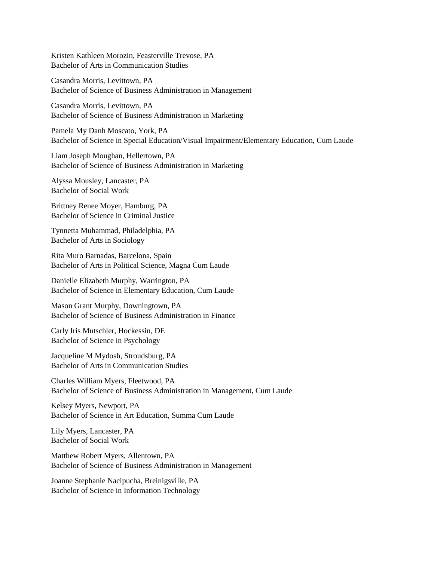Kristen Kathleen Morozin, Feasterville Trevose, PA Bachelor of Arts in Communication Studies

Casandra Morris, Levittown, PA Bachelor of Science of Business Administration in Management

Casandra Morris, Levittown, PA Bachelor of Science of Business Administration in Marketing

Pamela My Danh Moscato, York, PA Bachelor of Science in Special Education/Visual Impairment/Elementary Education, Cum Laude

Liam Joseph Moughan, Hellertown, PA Bachelor of Science of Business Administration in Marketing

Alyssa Mousley, Lancaster, PA Bachelor of Social Work

Brittney Renee Moyer, Hamburg, PA Bachelor of Science in Criminal Justice

Tynnetta Muhammad, Philadelphia, PA Bachelor of Arts in Sociology

Rita Muro Barnadas, Barcelona, Spain Bachelor of Arts in Political Science, Magna Cum Laude

Danielle Elizabeth Murphy, Warrington, PA Bachelor of Science in Elementary Education, Cum Laude

Mason Grant Murphy, Downingtown, PA Bachelor of Science of Business Administration in Finance

Carly Iris Mutschler, Hockessin, DE Bachelor of Science in Psychology

Jacqueline M Mydosh, Stroudsburg, PA Bachelor of Arts in Communication Studies

Charles William Myers, Fleetwood, PA Bachelor of Science of Business Administration in Management, Cum Laude

Kelsey Myers, Newport, PA Bachelor of Science in Art Education, Summa Cum Laude

Lily Myers, Lancaster, PA Bachelor of Social Work

Matthew Robert Myers, Allentown, PA Bachelor of Science of Business Administration in Management

Joanne Stephanie Nacipucha, Breinigsville, PA Bachelor of Science in Information Technology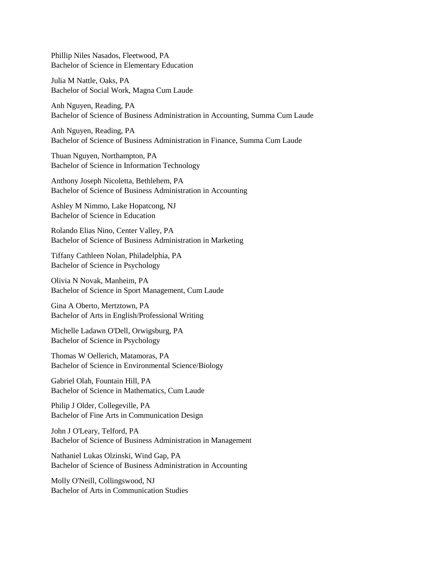Phillip Niles Nasados, Fleetwood, PA Bachelor of Science in Elementary Education

Julia M Nattle, Oaks, PA Bachelor of Social Work, Magna Cum Laude

Anh Nguyen, Reading, PA Bachelor of Science of Business Administration in Accounting, Summa Cum Laude

Anh Nguyen, Reading, PA Bachelor of Science of Business Administration in Finance, Summa Cum Laude

Thuan Nguyen, Northampton, PA Bachelor of Science in Information Technology

Anthony Joseph Nicoletta, Bethlehem, PA Bachelor of Science of Business Administration in Accounting

Ashley M Nimmo, Lake Hopatcong, NJ Bachelor of Science in Education

Rolando Elias Nino, Center Valley, PA Bachelor of Science of Business Administration in Marketing

Tiffany Cathleen Nolan, Philadelphia, PA Bachelor of Science in Psychology

Olivia N Novak, Manheim, PA Bachelor of Science in Sport Management, Cum Laude

Gina A Oberto, Mertztown, PA Bachelor of Arts in English/Professional Writing

Michelle Ladawn O'Dell, Orwigsburg, PA Bachelor of Science in Psychology

Thomas W Oellerich, Matamoras, PA Bachelor of Science in Environmental Science/Biology

Gabriel Olah, Fountain Hill, PA Bachelor of Science in Mathematics, Cum Laude

Philip J Older, Collegeville, PA Bachelor of Fine Arts in Communication Design

John J O'Leary, Telford, PA Bachelor of Science of Business Administration in Management

Nathaniel Lukas Olzinski, Wind Gap, PA Bachelor of Science of Business Administration in Accounting

Molly O'Neill, Collingswood, NJ Bachelor of Arts in Communication Studies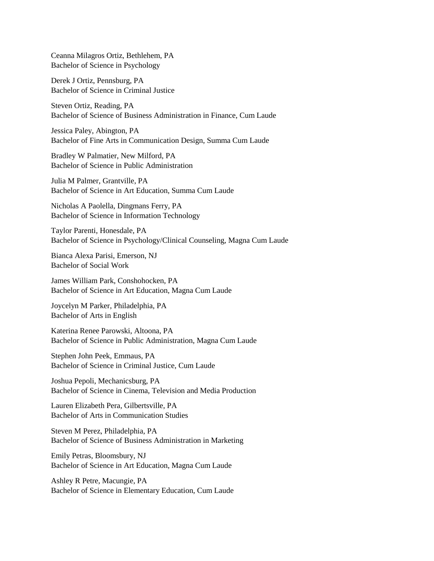Ceanna Milagros Ortiz, Bethlehem, PA Bachelor of Science in Psychology

Derek J Ortiz, Pennsburg, PA Bachelor of Science in Criminal Justice

Steven Ortiz, Reading, PA Bachelor of Science of Business Administration in Finance, Cum Laude

Jessica Paley, Abington, PA Bachelor of Fine Arts in Communication Design, Summa Cum Laude

Bradley W Palmatier, New Milford, PA Bachelor of Science in Public Administration

Julia M Palmer, Grantville, PA Bachelor of Science in Art Education, Summa Cum Laude

Nicholas A Paolella, Dingmans Ferry, PA Bachelor of Science in Information Technology

Taylor Parenti, Honesdale, PA Bachelor of Science in Psychology/Clinical Counseling, Magna Cum Laude

Bianca Alexa Parisi, Emerson, NJ Bachelor of Social Work

James William Park, Conshohocken, PA Bachelor of Science in Art Education, Magna Cum Laude

Joycelyn M Parker, Philadelphia, PA Bachelor of Arts in English

Katerina Renee Parowski, Altoona, PA Bachelor of Science in Public Administration, Magna Cum Laude

Stephen John Peek, Emmaus, PA Bachelor of Science in Criminal Justice, Cum Laude

Joshua Pepoli, Mechanicsburg, PA Bachelor of Science in Cinema, Television and Media Production

Lauren Elizabeth Pera, Gilbertsville, PA Bachelor of Arts in Communication Studies

Steven M Perez, Philadelphia, PA Bachelor of Science of Business Administration in Marketing

Emily Petras, Bloomsbury, NJ Bachelor of Science in Art Education, Magna Cum Laude

Ashley R Petre, Macungie, PA Bachelor of Science in Elementary Education, Cum Laude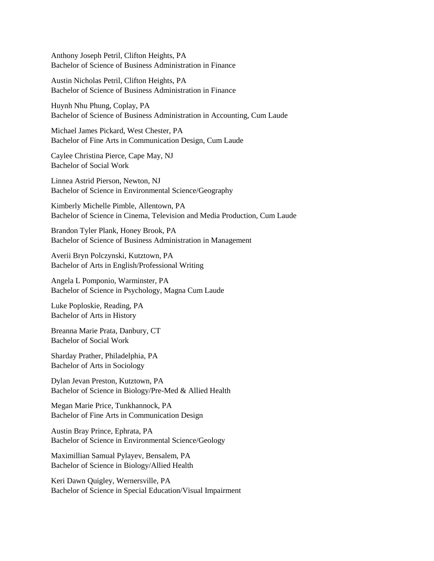Anthony Joseph Petril, Clifton Heights, PA Bachelor of Science of Business Administration in Finance

Austin Nicholas Petril, Clifton Heights, PA Bachelor of Science of Business Administration in Finance

Huynh Nhu Phung, Coplay, PA Bachelor of Science of Business Administration in Accounting, Cum Laude

Michael James Pickard, West Chester, PA Bachelor of Fine Arts in Communication Design, Cum Laude

Caylee Christina Pierce, Cape May, NJ Bachelor of Social Work

Linnea Astrid Pierson, Newton, NJ Bachelor of Science in Environmental Science/Geography

Kimberly Michelle Pimble, Allentown, PA Bachelor of Science in Cinema, Television and Media Production, Cum Laude

Brandon Tyler Plank, Honey Brook, PA Bachelor of Science of Business Administration in Management

Averii Bryn Polczynski, Kutztown, PA Bachelor of Arts in English/Professional Writing

Angela L Pomponio, Warminster, PA Bachelor of Science in Psychology, Magna Cum Laude

Luke Poploskie, Reading, PA Bachelor of Arts in History

Breanna Marie Prata, Danbury, CT Bachelor of Social Work

Sharday Prather, Philadelphia, PA Bachelor of Arts in Sociology

Dylan Jevan Preston, Kutztown, PA Bachelor of Science in Biology/Pre-Med & Allied Health

Megan Marie Price, Tunkhannock, PA Bachelor of Fine Arts in Communication Design

Austin Bray Prince, Ephrata, PA Bachelor of Science in Environmental Science/Geology

Maximillian Samual Pylayev, Bensalem, PA Bachelor of Science in Biology/Allied Health

Keri Dawn Quigley, Wernersville, PA Bachelor of Science in Special Education/Visual Impairment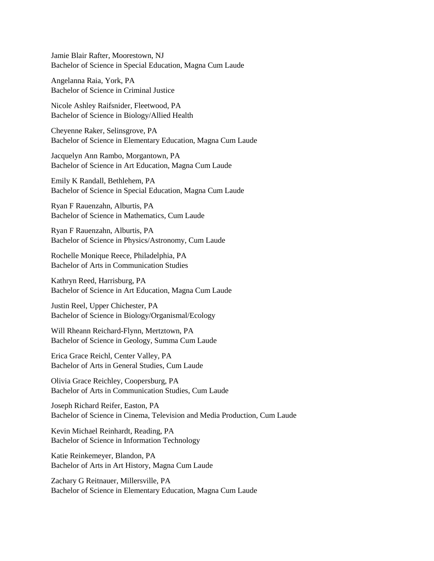Jamie Blair Rafter, Moorestown, NJ Bachelor of Science in Special Education, Magna Cum Laude

Angelanna Raia, York, PA Bachelor of Science in Criminal Justice

Nicole Ashley Raifsnider, Fleetwood, PA Bachelor of Science in Biology/Allied Health

Cheyenne Raker, Selinsgrove, PA Bachelor of Science in Elementary Education, Magna Cum Laude

Jacquelyn Ann Rambo, Morgantown, PA Bachelor of Science in Art Education, Magna Cum Laude

Emily K Randall, Bethlehem, PA Bachelor of Science in Special Education, Magna Cum Laude

Ryan F Rauenzahn, Alburtis, PA Bachelor of Science in Mathematics, Cum Laude

Ryan F Rauenzahn, Alburtis, PA Bachelor of Science in Physics/Astronomy, Cum Laude

Rochelle Monique Reece, Philadelphia, PA Bachelor of Arts in Communication Studies

Kathryn Reed, Harrisburg, PA Bachelor of Science in Art Education, Magna Cum Laude

Justin Reel, Upper Chichester, PA Bachelor of Science in Biology/Organismal/Ecology

Will Rheann Reichard-Flynn, Mertztown, PA Bachelor of Science in Geology, Summa Cum Laude

Erica Grace Reichl, Center Valley, PA Bachelor of Arts in General Studies, Cum Laude

Olivia Grace Reichley, Coopersburg, PA Bachelor of Arts in Communication Studies, Cum Laude

Joseph Richard Reifer, Easton, PA Bachelor of Science in Cinema, Television and Media Production, Cum Laude

Kevin Michael Reinhardt, Reading, PA Bachelor of Science in Information Technology

Katie Reinkemeyer, Blandon, PA Bachelor of Arts in Art History, Magna Cum Laude

Zachary G Reitnauer, Millersville, PA Bachelor of Science in Elementary Education, Magna Cum Laude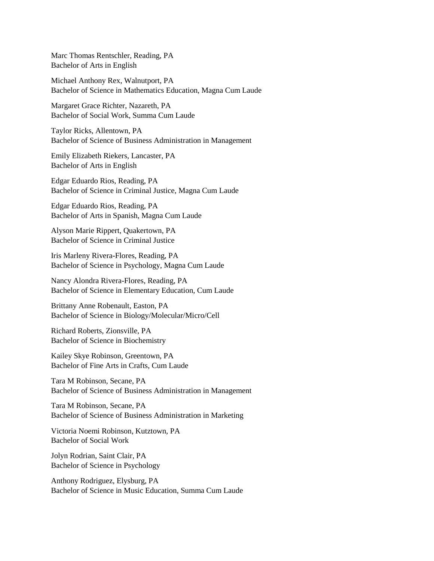Marc Thomas Rentschler, Reading, PA Bachelor of Arts in English

Michael Anthony Rex, Walnutport, PA Bachelor of Science in Mathematics Education, Magna Cum Laude

Margaret Grace Richter, Nazareth, PA Bachelor of Social Work, Summa Cum Laude

Taylor Ricks, Allentown, PA Bachelor of Science of Business Administration in Management

Emily Elizabeth Riekers, Lancaster, PA Bachelor of Arts in English

Edgar Eduardo Rios, Reading, PA Bachelor of Science in Criminal Justice, Magna Cum Laude

Edgar Eduardo Rios, Reading, PA Bachelor of Arts in Spanish, Magna Cum Laude

Alyson Marie Rippert, Quakertown, PA Bachelor of Science in Criminal Justice

Iris Marleny Rivera-Flores, Reading, PA Bachelor of Science in Psychology, Magna Cum Laude

Nancy Alondra Rivera-Flores, Reading, PA Bachelor of Science in Elementary Education, Cum Laude

Brittany Anne Robenault, Easton, PA Bachelor of Science in Biology/Molecular/Micro/Cell

Richard Roberts, Zionsville, PA Bachelor of Science in Biochemistry

Kailey Skye Robinson, Greentown, PA Bachelor of Fine Arts in Crafts, Cum Laude

Tara M Robinson, Secane, PA Bachelor of Science of Business Administration in Management

Tara M Robinson, Secane, PA Bachelor of Science of Business Administration in Marketing

Victoria Noemi Robinson, Kutztown, PA Bachelor of Social Work

Jolyn Rodrian, Saint Clair, PA Bachelor of Science in Psychology

Anthony Rodriguez, Elysburg, PA Bachelor of Science in Music Education, Summa Cum Laude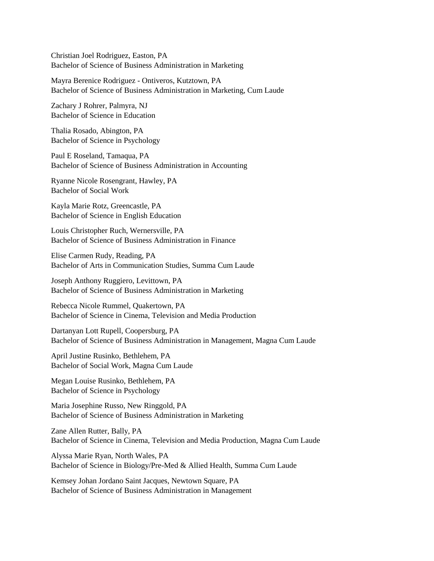Christian Joel Rodriguez, Easton, PA Bachelor of Science of Business Administration in Marketing

Mayra Berenice Rodriguez - Ontiveros, Kutztown, PA Bachelor of Science of Business Administration in Marketing, Cum Laude

Zachary J Rohrer, Palmyra, NJ Bachelor of Science in Education

Thalia Rosado, Abington, PA Bachelor of Science in Psychology

Paul E Roseland, Tamaqua, PA Bachelor of Science of Business Administration in Accounting

Ryanne Nicole Rosengrant, Hawley, PA Bachelor of Social Work

Kayla Marie Rotz, Greencastle, PA Bachelor of Science in English Education

Louis Christopher Ruch, Wernersville, PA Bachelor of Science of Business Administration in Finance

Elise Carmen Rudy, Reading, PA Bachelor of Arts in Communication Studies, Summa Cum Laude

Joseph Anthony Ruggiero, Levittown, PA Bachelor of Science of Business Administration in Marketing

Rebecca Nicole Rummel, Quakertown, PA Bachelor of Science in Cinema, Television and Media Production

Dartanyan Lott Rupell, Coopersburg, PA Bachelor of Science of Business Administration in Management, Magna Cum Laude

April Justine Rusinko, Bethlehem, PA Bachelor of Social Work, Magna Cum Laude

Megan Louise Rusinko, Bethlehem, PA Bachelor of Science in Psychology

Maria Josephine Russo, New Ringgold, PA Bachelor of Science of Business Administration in Marketing

Zane Allen Rutter, Bally, PA Bachelor of Science in Cinema, Television and Media Production, Magna Cum Laude

Alyssa Marie Ryan, North Wales, PA Bachelor of Science in Biology/Pre-Med & Allied Health, Summa Cum Laude

Kemsey Johan Jordano Saint Jacques, Newtown Square, PA Bachelor of Science of Business Administration in Management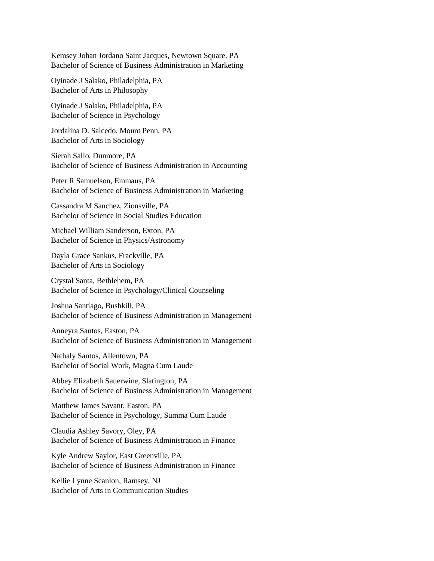Kemsey Johan Jordano Saint Jacques, Newtown Square, PA Bachelor of Science of Business Administration in Marketing

Oyinade J Salako, Philadelphia, PA Bachelor of Arts in Philosophy

Oyinade J Salako, Philadelphia, PA Bachelor of Science in Psychology

Jordalina D. Salcedo, Mount Penn, PA Bachelor of Arts in Sociology

Sierah Sallo, Dunmore, PA Bachelor of Science of Business Administration in Accounting

Peter R Samuelson, Emmaus, PA Bachelor of Science of Business Administration in Marketing

Cassandra M Sanchez, Zionsville, PA Bachelor of Science in Social Studies Education

Michael William Sanderson, Exton, PA Bachelor of Science in Physics/Astronomy

Dayla Grace Sankus, Frackville, PA Bachelor of Arts in Sociology

Crystal Santa, Bethlehem, PA Bachelor of Science in Psychology/Clinical Counseling

Joshua Santiago, Bushkill, PA Bachelor of Science of Business Administration in Management

Anneyra Santos, Easton, PA Bachelor of Science of Business Administration in Management

Nathaly Santos, Allentown, PA Bachelor of Social Work, Magna Cum Laude

Abbey Elizabeth Sauerwine, Slatington, PA Bachelor of Science of Business Administration in Management

Matthew James Savant, Easton, PA Bachelor of Science in Psychology, Summa Cum Laude

Claudia Ashley Savory, Oley, PA Bachelor of Science of Business Administration in Finance

Kyle Andrew Saylor, East Greenville, PA Bachelor of Science of Business Administration in Finance

Kellie Lynne Scanlon, Ramsey, NJ Bachelor of Arts in Communication Studies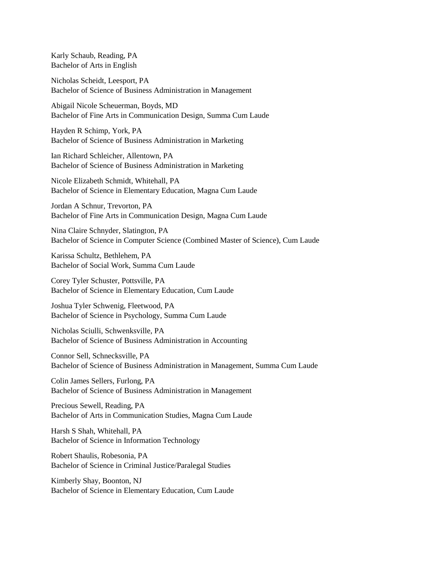Karly Schaub, Reading, PA Bachelor of Arts in English

Nicholas Scheidt, Leesport, PA Bachelor of Science of Business Administration in Management

Abigail Nicole Scheuerman, Boyds, MD Bachelor of Fine Arts in Communication Design, Summa Cum Laude

Hayden R Schimp, York, PA Bachelor of Science of Business Administration in Marketing

Ian Richard Schleicher, Allentown, PA Bachelor of Science of Business Administration in Marketing

Nicole Elizabeth Schmidt, Whitehall, PA Bachelor of Science in Elementary Education, Magna Cum Laude

Jordan A Schnur, Trevorton, PA Bachelor of Fine Arts in Communication Design, Magna Cum Laude

Nina Claire Schnyder, Slatington, PA Bachelor of Science in Computer Science (Combined Master of Science), Cum Laude

Karissa Schultz, Bethlehem, PA Bachelor of Social Work, Summa Cum Laude

Corey Tyler Schuster, Pottsville, PA Bachelor of Science in Elementary Education, Cum Laude

Joshua Tyler Schwenig, Fleetwood, PA Bachelor of Science in Psychology, Summa Cum Laude

Nicholas Sciulli, Schwenksville, PA Bachelor of Science of Business Administration in Accounting

Connor Sell, Schnecksville, PA Bachelor of Science of Business Administration in Management, Summa Cum Laude

Colin James Sellers, Furlong, PA Bachelor of Science of Business Administration in Management

Precious Sewell, Reading, PA Bachelor of Arts in Communication Studies, Magna Cum Laude

Harsh S Shah, Whitehall, PA Bachelor of Science in Information Technology

Robert Shaulis, Robesonia, PA Bachelor of Science in Criminal Justice/Paralegal Studies

Kimberly Shay, Boonton, NJ Bachelor of Science in Elementary Education, Cum Laude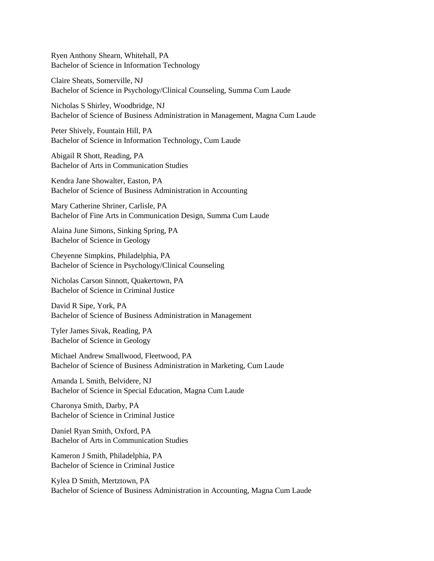Ryen Anthony Shearn, Whitehall, PA Bachelor of Science in Information Technology

Claire Sheats, Somerville, NJ Bachelor of Science in Psychology/Clinical Counseling, Summa Cum Laude

Nicholas S Shirley, Woodbridge, NJ Bachelor of Science of Business Administration in Management, Magna Cum Laude

Peter Shively, Fountain Hill, PA Bachelor of Science in Information Technology, Cum Laude

Abigail R Shott, Reading, PA Bachelor of Arts in Communication Studies

Kendra Jane Showalter, Easton, PA Bachelor of Science of Business Administration in Accounting

Mary Catherine Shriner, Carlisle, PA Bachelor of Fine Arts in Communication Design, Summa Cum Laude

Alaina June Simons, Sinking Spring, PA Bachelor of Science in Geology

Cheyenne Simpkins, Philadelphia, PA Bachelor of Science in Psychology/Clinical Counseling

Nicholas Carson Sinnott, Quakertown, PA Bachelor of Science in Criminal Justice

David R Sipe, York, PA Bachelor of Science of Business Administration in Management

Tyler James Sivak, Reading, PA Bachelor of Science in Geology

Michael Andrew Smallwood, Fleetwood, PA Bachelor of Science of Business Administration in Marketing, Cum Laude

Amanda L Smith, Belvidere, NJ Bachelor of Science in Special Education, Magna Cum Laude

Charonya Smith, Darby, PA Bachelor of Science in Criminal Justice

Daniel Ryan Smith, Oxford, PA Bachelor of Arts in Communication Studies

Kameron J Smith, Philadelphia, PA Bachelor of Science in Criminal Justice

Kylea D Smith, Mertztown, PA Bachelor of Science of Business Administration in Accounting, Magna Cum Laude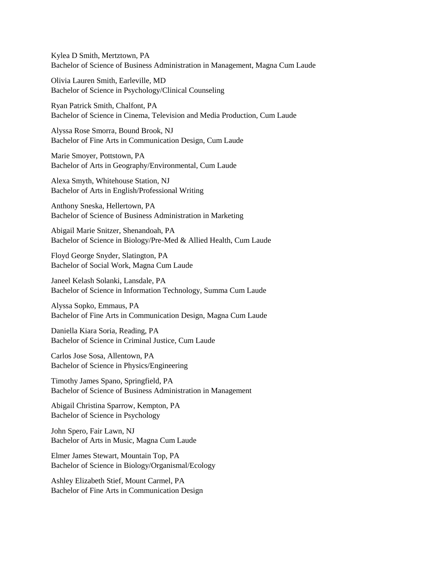Kylea D Smith, Mertztown, PA Bachelor of Science of Business Administration in Management, Magna Cum Laude

Olivia Lauren Smith, Earleville, MD Bachelor of Science in Psychology/Clinical Counseling

Ryan Patrick Smith, Chalfont, PA Bachelor of Science in Cinema, Television and Media Production, Cum Laude

Alyssa Rose Smorra, Bound Brook, NJ Bachelor of Fine Arts in Communication Design, Cum Laude

Marie Smoyer, Pottstown, PA Bachelor of Arts in Geography/Environmental, Cum Laude

Alexa Smyth, Whitehouse Station, NJ Bachelor of Arts in English/Professional Writing

Anthony Sneska, Hellertown, PA Bachelor of Science of Business Administration in Marketing

Abigail Marie Snitzer, Shenandoah, PA Bachelor of Science in Biology/Pre-Med & Allied Health, Cum Laude

Floyd George Snyder, Slatington, PA Bachelor of Social Work, Magna Cum Laude

Janeel Kelash Solanki, Lansdale, PA Bachelor of Science in Information Technology, Summa Cum Laude

Alyssa Sopko, Emmaus, PA Bachelor of Fine Arts in Communication Design, Magna Cum Laude

Daniella Kiara Soria, Reading, PA Bachelor of Science in Criminal Justice, Cum Laude

Carlos Jose Sosa, Allentown, PA Bachelor of Science in Physics/Engineering

Timothy James Spano, Springfield, PA Bachelor of Science of Business Administration in Management

Abigail Christina Sparrow, Kempton, PA Bachelor of Science in Psychology

John Spero, Fair Lawn, NJ Bachelor of Arts in Music, Magna Cum Laude

Elmer James Stewart, Mountain Top, PA Bachelor of Science in Biology/Organismal/Ecology

Ashley Elizabeth Stief, Mount Carmel, PA Bachelor of Fine Arts in Communication Design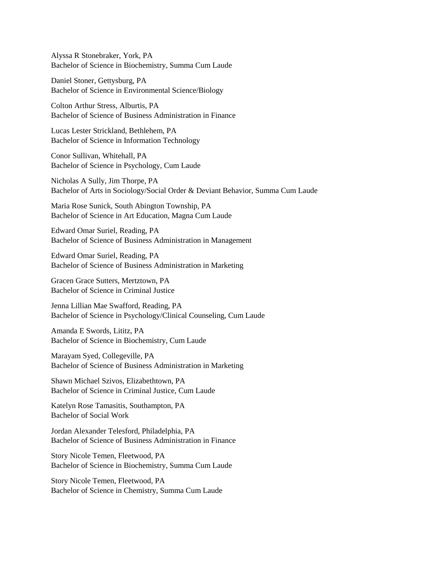Alyssa R Stonebraker, York, PA Bachelor of Science in Biochemistry, Summa Cum Laude

Daniel Stoner, Gettysburg, PA Bachelor of Science in Environmental Science/Biology

Colton Arthur Stress, Alburtis, PA Bachelor of Science of Business Administration in Finance

Lucas Lester Strickland, Bethlehem, PA Bachelor of Science in Information Technology

Conor Sullivan, Whitehall, PA Bachelor of Science in Psychology, Cum Laude

Nicholas A Sully, Jim Thorpe, PA Bachelor of Arts in Sociology/Social Order & Deviant Behavior, Summa Cum Laude

Maria Rose Sunick, South Abington Township, PA Bachelor of Science in Art Education, Magna Cum Laude

Edward Omar Suriel, Reading, PA Bachelor of Science of Business Administration in Management

Edward Omar Suriel, Reading, PA Bachelor of Science of Business Administration in Marketing

Gracen Grace Sutters, Mertztown, PA Bachelor of Science in Criminal Justice

Jenna Lillian Mae Swafford, Reading, PA Bachelor of Science in Psychology/Clinical Counseling, Cum Laude

Amanda E Swords, Lititz, PA Bachelor of Science in Biochemistry, Cum Laude

Marayam Syed, Collegeville, PA Bachelor of Science of Business Administration in Marketing

Shawn Michael Szivos, Elizabethtown, PA Bachelor of Science in Criminal Justice, Cum Laude

Katelyn Rose Tamasitis, Southampton, PA Bachelor of Social Work

Jordan Alexander Telesford, Philadelphia, PA Bachelor of Science of Business Administration in Finance

Story Nicole Temen, Fleetwood, PA Bachelor of Science in Biochemistry, Summa Cum Laude

Story Nicole Temen, Fleetwood, PA Bachelor of Science in Chemistry, Summa Cum Laude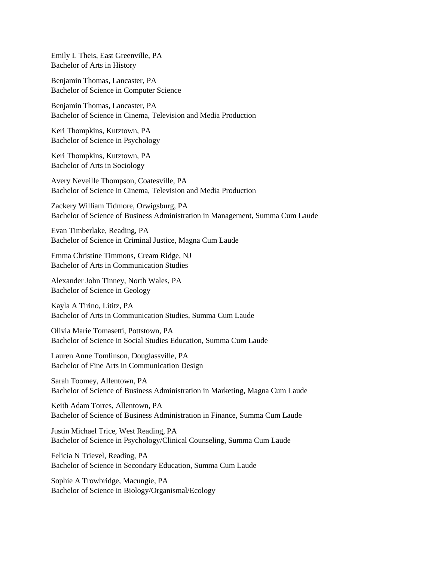Emily L Theis, East Greenville, PA Bachelor of Arts in History

Benjamin Thomas, Lancaster, PA Bachelor of Science in Computer Science

Benjamin Thomas, Lancaster, PA Bachelor of Science in Cinema, Television and Media Production

Keri Thompkins, Kutztown, PA Bachelor of Science in Psychology

Keri Thompkins, Kutztown, PA Bachelor of Arts in Sociology

Avery Neveille Thompson, Coatesville, PA Bachelor of Science in Cinema, Television and Media Production

Zackery William Tidmore, Orwigsburg, PA Bachelor of Science of Business Administration in Management, Summa Cum Laude

Evan Timberlake, Reading, PA Bachelor of Science in Criminal Justice, Magna Cum Laude

Emma Christine Timmons, Cream Ridge, NJ Bachelor of Arts in Communication Studies

Alexander John Tinney, North Wales, PA Bachelor of Science in Geology

Kayla A Tirino, Lititz, PA Bachelor of Arts in Communication Studies, Summa Cum Laude

Olivia Marie Tomasetti, Pottstown, PA Bachelor of Science in Social Studies Education, Summa Cum Laude

Lauren Anne Tomlinson, Douglassville, PA Bachelor of Fine Arts in Communication Design

Sarah Toomey, Allentown, PA Bachelor of Science of Business Administration in Marketing, Magna Cum Laude

Keith Adam Torres, Allentown, PA Bachelor of Science of Business Administration in Finance, Summa Cum Laude

Justin Michael Trice, West Reading, PA Bachelor of Science in Psychology/Clinical Counseling, Summa Cum Laude

Felicia N Trievel, Reading, PA Bachelor of Science in Secondary Education, Summa Cum Laude

Sophie A Trowbridge, Macungie, PA Bachelor of Science in Biology/Organismal/Ecology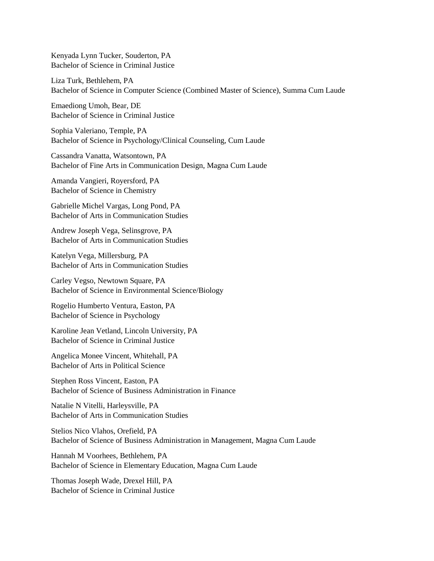Kenyada Lynn Tucker, Souderton, PA Bachelor of Science in Criminal Justice

Liza Turk, Bethlehem, PA Bachelor of Science in Computer Science (Combined Master of Science), Summa Cum Laude

Emaediong Umoh, Bear, DE Bachelor of Science in Criminal Justice

Sophia Valeriano, Temple, PA Bachelor of Science in Psychology/Clinical Counseling, Cum Laude

Cassandra Vanatta, Watsontown, PA Bachelor of Fine Arts in Communication Design, Magna Cum Laude

Amanda Vangieri, Royersford, PA Bachelor of Science in Chemistry

Gabrielle Michel Vargas, Long Pond, PA Bachelor of Arts in Communication Studies

Andrew Joseph Vega, Selinsgrove, PA Bachelor of Arts in Communication Studies

Katelyn Vega, Millersburg, PA Bachelor of Arts in Communication Studies

Carley Vegso, Newtown Square, PA Bachelor of Science in Environmental Science/Biology

Rogelio Humberto Ventura, Easton, PA Bachelor of Science in Psychology

Karoline Jean Vetland, Lincoln University, PA Bachelor of Science in Criminal Justice

Angelica Monee Vincent, Whitehall, PA Bachelor of Arts in Political Science

Stephen Ross Vincent, Easton, PA Bachelor of Science of Business Administration in Finance

Natalie N Vitelli, Harleysville, PA Bachelor of Arts in Communication Studies

Stelios Nico Vlahos, Orefield, PA Bachelor of Science of Business Administration in Management, Magna Cum Laude

Hannah M Voorhees, Bethlehem, PA Bachelor of Science in Elementary Education, Magna Cum Laude

Thomas Joseph Wade, Drexel Hill, PA Bachelor of Science in Criminal Justice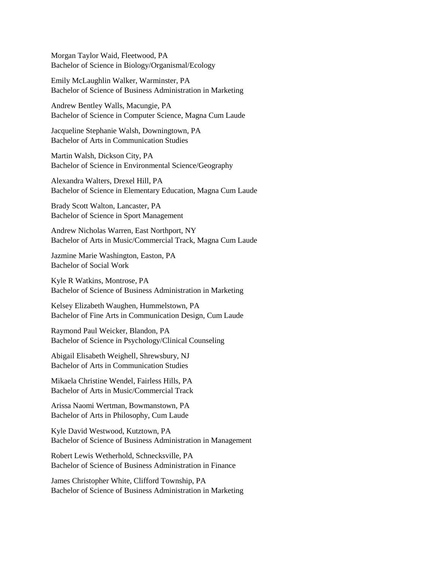Morgan Taylor Waid, Fleetwood, PA Bachelor of Science in Biology/Organismal/Ecology

Emily McLaughlin Walker, Warminster, PA Bachelor of Science of Business Administration in Marketing

Andrew Bentley Walls, Macungie, PA Bachelor of Science in Computer Science, Magna Cum Laude

Jacqueline Stephanie Walsh, Downingtown, PA Bachelor of Arts in Communication Studies

Martin Walsh, Dickson City, PA Bachelor of Science in Environmental Science/Geography

Alexandra Walters, Drexel Hill, PA Bachelor of Science in Elementary Education, Magna Cum Laude

Brady Scott Walton, Lancaster, PA Bachelor of Science in Sport Management

Andrew Nicholas Warren, East Northport, NY Bachelor of Arts in Music/Commercial Track, Magna Cum Laude

Jazmine Marie Washington, Easton, PA Bachelor of Social Work

Kyle R Watkins, Montrose, PA Bachelor of Science of Business Administration in Marketing

Kelsey Elizabeth Waughen, Hummelstown, PA Bachelor of Fine Arts in Communication Design, Cum Laude

Raymond Paul Weicker, Blandon, PA Bachelor of Science in Psychology/Clinical Counseling

Abigail Elisabeth Weighell, Shrewsbury, NJ Bachelor of Arts in Communication Studies

Mikaela Christine Wendel, Fairless Hills, PA Bachelor of Arts in Music/Commercial Track

Arissa Naomi Wertman, Bowmanstown, PA Bachelor of Arts in Philosophy, Cum Laude

Kyle David Westwood, Kutztown, PA Bachelor of Science of Business Administration in Management

Robert Lewis Wetherhold, Schnecksville, PA Bachelor of Science of Business Administration in Finance

James Christopher White, Clifford Township, PA Bachelor of Science of Business Administration in Marketing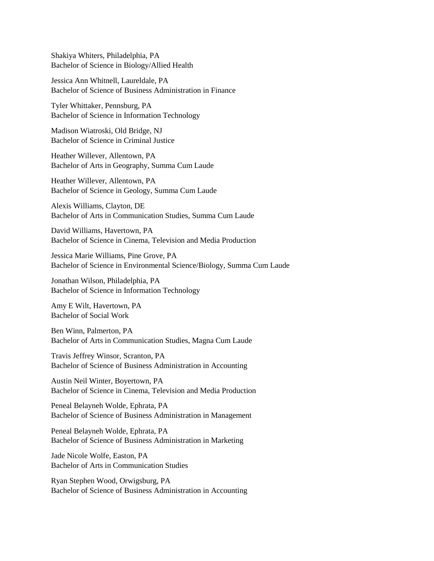Shakiya Whiters, Philadelphia, PA Bachelor of Science in Biology/Allied Health

Jessica Ann Whitnell, Laureldale, PA Bachelor of Science of Business Administration in Finance

Tyler Whittaker, Pennsburg, PA Bachelor of Science in Information Technology

Madison Wiatroski, Old Bridge, NJ Bachelor of Science in Criminal Justice

Heather Willever, Allentown, PA Bachelor of Arts in Geography, Summa Cum Laude

Heather Willever, Allentown, PA Bachelor of Science in Geology, Summa Cum Laude

Alexis Williams, Clayton, DE Bachelor of Arts in Communication Studies, Summa Cum Laude

David Williams, Havertown, PA Bachelor of Science in Cinema, Television and Media Production

Jessica Marie Williams, Pine Grove, PA Bachelor of Science in Environmental Science/Biology, Summa Cum Laude

Jonathan Wilson, Philadelphia, PA Bachelor of Science in Information Technology

Amy E Wilt, Havertown, PA Bachelor of Social Work

Ben Winn, Palmerton, PA Bachelor of Arts in Communication Studies, Magna Cum Laude

Travis Jeffrey Winsor, Scranton, PA Bachelor of Science of Business Administration in Accounting

Austin Neil Winter, Boyertown, PA Bachelor of Science in Cinema, Television and Media Production

Peneal Belayneh Wolde, Ephrata, PA Bachelor of Science of Business Administration in Management

Peneal Belayneh Wolde, Ephrata, PA Bachelor of Science of Business Administration in Marketing

Jade Nicole Wolfe, Easton, PA Bachelor of Arts in Communication Studies

Ryan Stephen Wood, Orwigsburg, PA Bachelor of Science of Business Administration in Accounting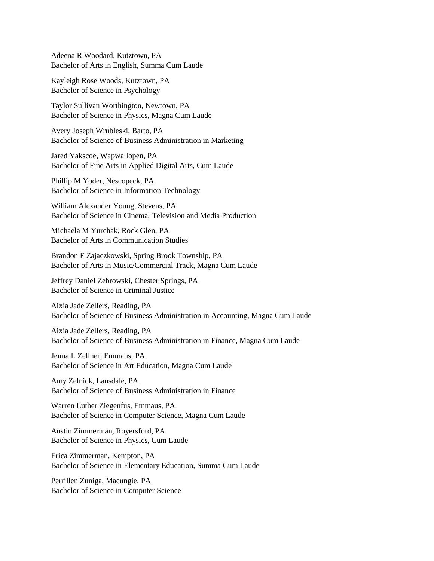Adeena R Woodard, Kutztown, PA Bachelor of Arts in English, Summa Cum Laude

Kayleigh Rose Woods, Kutztown, PA Bachelor of Science in Psychology

Taylor Sullivan Worthington, Newtown, PA Bachelor of Science in Physics, Magna Cum Laude

Avery Joseph Wrubleski, Barto, PA Bachelor of Science of Business Administration in Marketing

Jared Yakscoe, Wapwallopen, PA Bachelor of Fine Arts in Applied Digital Arts, Cum Laude

Phillip M Yoder, Nescopeck, PA Bachelor of Science in Information Technology

William Alexander Young, Stevens, PA Bachelor of Science in Cinema, Television and Media Production

Michaela M Yurchak, Rock Glen, PA Bachelor of Arts in Communication Studies

Brandon F Zajaczkowski, Spring Brook Township, PA Bachelor of Arts in Music/Commercial Track, Magna Cum Laude

Jeffrey Daniel Zebrowski, Chester Springs, PA Bachelor of Science in Criminal Justice

Aixia Jade Zellers, Reading, PA Bachelor of Science of Business Administration in Accounting, Magna Cum Laude

Aixia Jade Zellers, Reading, PA Bachelor of Science of Business Administration in Finance, Magna Cum Laude

Jenna L Zellner, Emmaus, PA Bachelor of Science in Art Education, Magna Cum Laude

Amy Zelnick, Lansdale, PA Bachelor of Science of Business Administration in Finance

Warren Luther Ziegenfus, Emmaus, PA Bachelor of Science in Computer Science, Magna Cum Laude

Austin Zimmerman, Royersford, PA Bachelor of Science in Physics, Cum Laude

Erica Zimmerman, Kempton, PA Bachelor of Science in Elementary Education, Summa Cum Laude

Perrillen Zuniga, Macungie, PA Bachelor of Science in Computer Science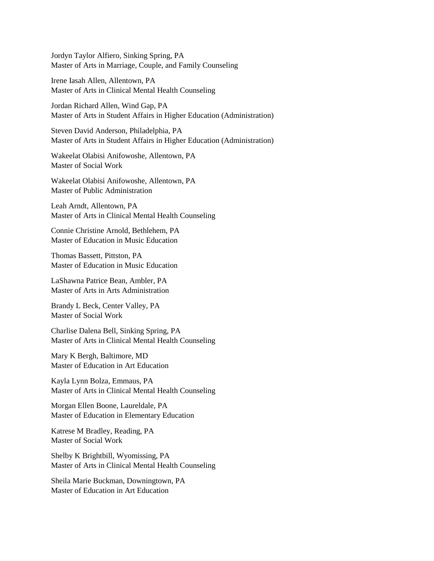Jordyn Taylor Alfiero, Sinking Spring, PA Master of Arts in Marriage, Couple, and Family Counseling

Irene Iasah Allen, Allentown, PA Master of Arts in Clinical Mental Health Counseling

Jordan Richard Allen, Wind Gap, PA Master of Arts in Student Affairs in Higher Education (Administration)

Steven David Anderson, Philadelphia, PA Master of Arts in Student Affairs in Higher Education (Administration)

Wakeelat Olabisi Anifowoshe, Allentown, PA Master of Social Work

Wakeelat Olabisi Anifowoshe, Allentown, PA Master of Public Administration

Leah Arndt, Allentown, PA Master of Arts in Clinical Mental Health Counseling

Connie Christine Arnold, Bethlehem, PA Master of Education in Music Education

Thomas Bassett, Pittston, PA Master of Education in Music Education

LaShawna Patrice Bean, Ambler, PA Master of Arts in Arts Administration

Brandy L Beck, Center Valley, PA Master of Social Work

Charlise Dalena Bell, Sinking Spring, PA Master of Arts in Clinical Mental Health Counseling

Mary K Bergh, Baltimore, MD Master of Education in Art Education

Kayla Lynn Bolza, Emmaus, PA Master of Arts in Clinical Mental Health Counseling

Morgan Ellen Boone, Laureldale, PA Master of Education in Elementary Education

Katrese M Bradley, Reading, PA Master of Social Work

Shelby K Brightbill, Wyomissing, PA Master of Arts in Clinical Mental Health Counseling

Sheila Marie Buckman, Downingtown, PA Master of Education in Art Education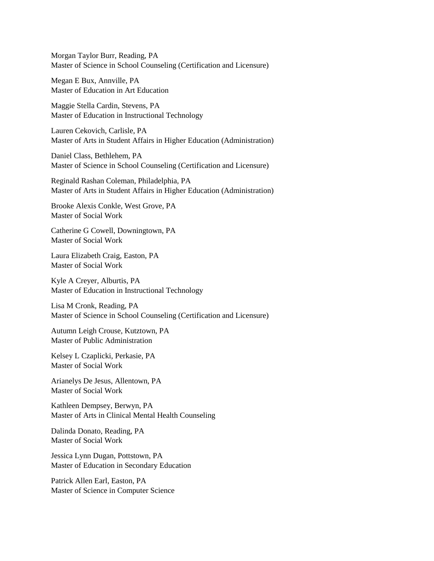Morgan Taylor Burr, Reading, PA Master of Science in School Counseling (Certification and Licensure)

Megan E Bux, Annville, PA Master of Education in Art Education

Maggie Stella Cardin, Stevens, PA Master of Education in Instructional Technology

Lauren Cekovich, Carlisle, PA Master of Arts in Student Affairs in Higher Education (Administration)

Daniel Class, Bethlehem, PA Master of Science in School Counseling (Certification and Licensure)

Reginald Rashan Coleman, Philadelphia, PA Master of Arts in Student Affairs in Higher Education (Administration)

Brooke Alexis Conkle, West Grove, PA Master of Social Work

Catherine G Cowell, Downingtown, PA Master of Social Work

Laura Elizabeth Craig, Easton, PA Master of Social Work

Kyle A Creyer, Alburtis, PA Master of Education in Instructional Technology

Lisa M Cronk, Reading, PA Master of Science in School Counseling (Certification and Licensure)

Autumn Leigh Crouse, Kutztown, PA Master of Public Administration

Kelsey L Czaplicki, Perkasie, PA Master of Social Work

Arianelys De Jesus, Allentown, PA Master of Social Work

Kathleen Dempsey, Berwyn, PA Master of Arts in Clinical Mental Health Counseling

Dalinda Donato, Reading, PA Master of Social Work

Jessica Lynn Dugan, Pottstown, PA Master of Education in Secondary Education

Patrick Allen Earl, Easton, PA Master of Science in Computer Science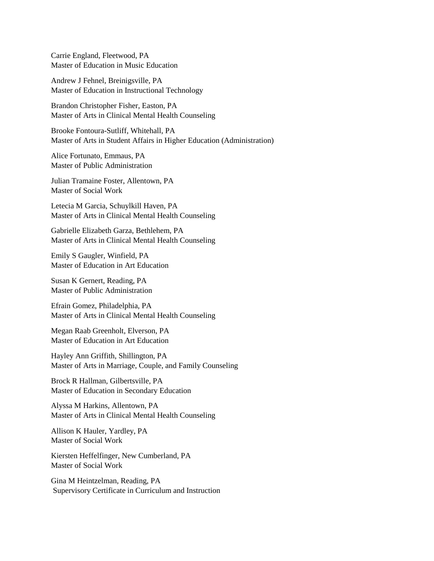Carrie England, Fleetwood, PA Master of Education in Music Education

Andrew J Fehnel, Breinigsville, PA Master of Education in Instructional Technology

Brandon Christopher Fisher, Easton, PA Master of Arts in Clinical Mental Health Counseling

Brooke Fontoura-Sutliff, Whitehall, PA Master of Arts in Student Affairs in Higher Education (Administration)

Alice Fortunato, Emmaus, PA Master of Public Administration

Julian Tramaine Foster, Allentown, PA Master of Social Work

Letecia M Garcia, Schuylkill Haven, PA Master of Arts in Clinical Mental Health Counseling

Gabrielle Elizabeth Garza, Bethlehem, PA Master of Arts in Clinical Mental Health Counseling

Emily S Gaugler, Winfield, PA Master of Education in Art Education

Susan K Gernert, Reading, PA Master of Public Administration

Efrain Gomez, Philadelphia, PA Master of Arts in Clinical Mental Health Counseling

Megan Raab Greenholt, Elverson, PA Master of Education in Art Education

Hayley Ann Griffith, Shillington, PA Master of Arts in Marriage, Couple, and Family Counseling

Brock R Hallman, Gilbertsville, PA Master of Education in Secondary Education

Alyssa M Harkins, Allentown, PA Master of Arts in Clinical Mental Health Counseling

Allison K Hauler, Yardley, PA Master of Social Work

Kiersten Heffelfinger, New Cumberland, PA Master of Social Work

Gina M Heintzelman, Reading, PA Supervisory Certificate in Curriculum and Instruction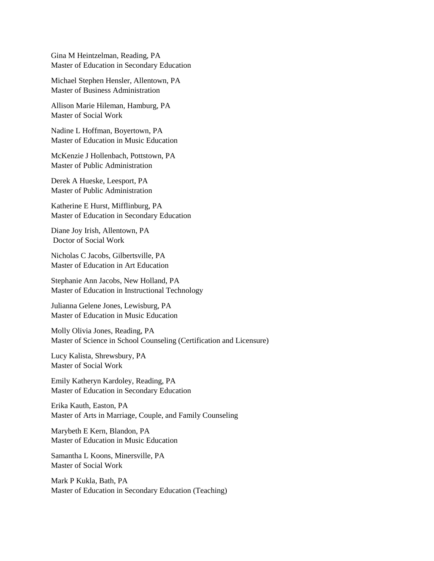Gina M Heintzelman, Reading, PA Master of Education in Secondary Education

Michael Stephen Hensler, Allentown, PA Master of Business Administration

Allison Marie Hileman, Hamburg, PA Master of Social Work

Nadine L Hoffman, Boyertown, PA Master of Education in Music Education

McKenzie J Hollenbach, Pottstown, PA Master of Public Administration

Derek A Hueske, Leesport, PA Master of Public Administration

Katherine E Hurst, Mifflinburg, PA Master of Education in Secondary Education

Diane Joy Irish, Allentown, PA Doctor of Social Work

Nicholas C Jacobs, Gilbertsville, PA Master of Education in Art Education

Stephanie Ann Jacobs, New Holland, PA Master of Education in Instructional Technology

Julianna Gelene Jones, Lewisburg, PA Master of Education in Music Education

Molly Olivia Jones, Reading, PA Master of Science in School Counseling (Certification and Licensure)

Lucy Kalista, Shrewsbury, PA Master of Social Work

Emily Katheryn Kardoley, Reading, PA Master of Education in Secondary Education

Erika Kauth, Easton, PA Master of Arts in Marriage, Couple, and Family Counseling

Marybeth E Kern, Blandon, PA Master of Education in Music Education

Samantha L Koons, Minersville, PA Master of Social Work

Mark P Kukla, Bath, PA Master of Education in Secondary Education (Teaching)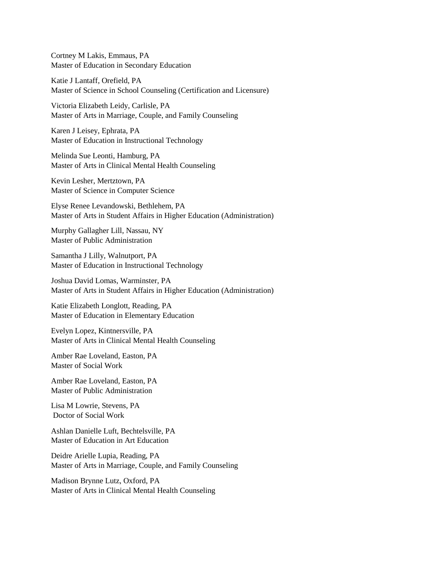Cortney M Lakis, Emmaus, PA Master of Education in Secondary Education

Katie J Lantaff, Orefield, PA Master of Science in School Counseling (Certification and Licensure)

Victoria Elizabeth Leidy, Carlisle, PA Master of Arts in Marriage, Couple, and Family Counseling

Karen J Leisey, Ephrata, PA Master of Education in Instructional Technology

Melinda Sue Leonti, Hamburg, PA Master of Arts in Clinical Mental Health Counseling

Kevin Lesher, Mertztown, PA Master of Science in Computer Science

Elyse Renee Levandowski, Bethlehem, PA Master of Arts in Student Affairs in Higher Education (Administration)

Murphy Gallagher Lill, Nassau, NY Master of Public Administration

Samantha J Lilly, Walnutport, PA Master of Education in Instructional Technology

Joshua David Lomas, Warminster, PA Master of Arts in Student Affairs in Higher Education (Administration)

Katie Elizabeth Longlott, Reading, PA Master of Education in Elementary Education

Evelyn Lopez, Kintnersville, PA Master of Arts in Clinical Mental Health Counseling

Amber Rae Loveland, Easton, PA Master of Social Work

Amber Rae Loveland, Easton, PA Master of Public Administration

Lisa M Lowrie, Stevens, PA Doctor of Social Work

Ashlan Danielle Luft, Bechtelsville, PA Master of Education in Art Education

Deidre Arielle Lupia, Reading, PA Master of Arts in Marriage, Couple, and Family Counseling

Madison Brynne Lutz, Oxford, PA Master of Arts in Clinical Mental Health Counseling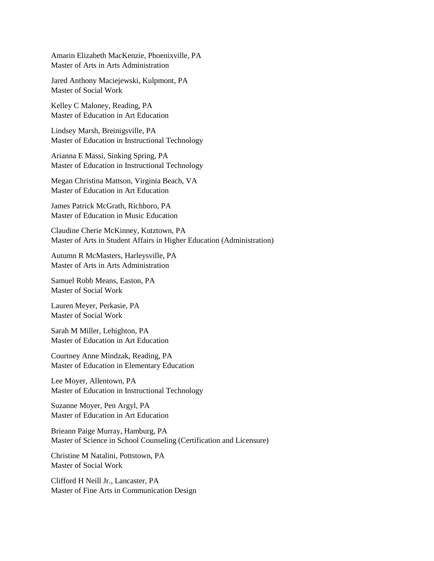Amarin Elizabeth MacKenzie, Phoenixville, PA Master of Arts in Arts Administration

Jared Anthony Maciejewski, Kulpmont, PA Master of Social Work

Kelley C Maloney, Reading, PA Master of Education in Art Education

Lindsey Marsh, Breinigsville, PA Master of Education in Instructional Technology

Arianna E Massi, Sinking Spring, PA Master of Education in Instructional Technology

Megan Christina Mattson, Virginia Beach, VA Master of Education in Art Education

James Patrick McGrath, Richboro, PA Master of Education in Music Education

Claudine Cherie McKinney, Kutztown, PA Master of Arts in Student Affairs in Higher Education (Administration)

Autumn R McMasters, Harleysville, PA Master of Arts in Arts Administration

Samuel Robb Means, Easton, PA Master of Social Work

Lauren Meyer, Perkasie, PA Master of Social Work

Sarah M Miller, Lehighton, PA Master of Education in Art Education

Courtney Anne Mindzak, Reading, PA Master of Education in Elementary Education

Lee Moyer, Allentown, PA Master of Education in Instructional Technology

Suzanne Moyer, Pen Argyl, PA Master of Education in Art Education

Brieann Paige Murray, Hamburg, PA Master of Science in School Counseling (Certification and Licensure)

Christine M Natalini, Pottstown, PA Master of Social Work

Clifford H Neill Jr., Lancaster, PA Master of Fine Arts in Communication Design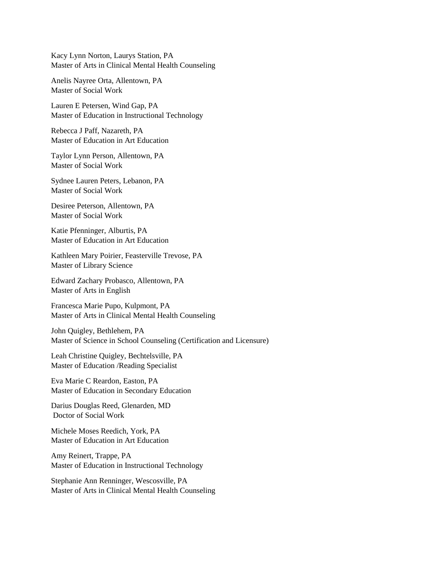Kacy Lynn Norton, Laurys Station, PA Master of Arts in Clinical Mental Health Counseling

Anelis Nayree Orta, Allentown, PA Master of Social Work

Lauren E Petersen, Wind Gap, PA Master of Education in Instructional Technology

Rebecca J Paff, Nazareth, PA Master of Education in Art Education

Taylor Lynn Person, Allentown, PA Master of Social Work

Sydnee Lauren Peters, Lebanon, PA Master of Social Work

Desiree Peterson, Allentown, PA Master of Social Work

Katie Pfenninger, Alburtis, PA Master of Education in Art Education

Kathleen Mary Poirier, Feasterville Trevose, PA Master of Library Science

Edward Zachary Probasco, Allentown, PA Master of Arts in English

Francesca Marie Pupo, Kulpmont, PA Master of Arts in Clinical Mental Health Counseling

John Quigley, Bethlehem, PA Master of Science in School Counseling (Certification and Licensure)

Leah Christine Quigley, Bechtelsville, PA Master of Education /Reading Specialist

Eva Marie C Reardon, Easton, PA Master of Education in Secondary Education

Darius Douglas Reed, Glenarden, MD Doctor of Social Work

Michele Moses Reedich, York, PA Master of Education in Art Education

Amy Reinert, Trappe, PA Master of Education in Instructional Technology

Stephanie Ann Renninger, Wescosville, PA Master of Arts in Clinical Mental Health Counseling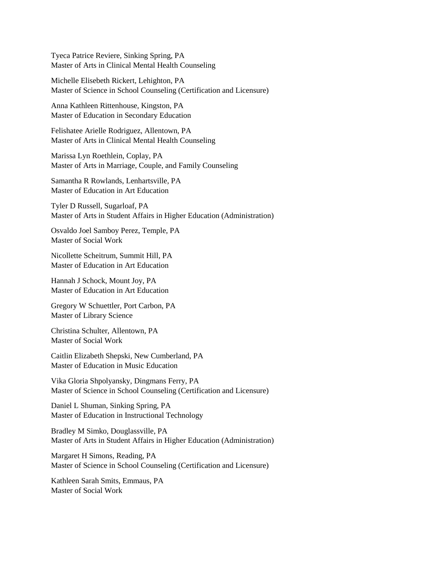Tyeca Patrice Reviere, Sinking Spring, PA Master of Arts in Clinical Mental Health Counseling

Michelle Elisebeth Rickert, Lehighton, PA Master of Science in School Counseling (Certification and Licensure)

Anna Kathleen Rittenhouse, Kingston, PA Master of Education in Secondary Education

Felishatee Arielle Rodriguez, Allentown, PA Master of Arts in Clinical Mental Health Counseling

Marissa Lyn Roethlein, Coplay, PA Master of Arts in Marriage, Couple, and Family Counseling

Samantha R Rowlands, Lenhartsville, PA Master of Education in Art Education

Tyler D Russell, Sugarloaf, PA Master of Arts in Student Affairs in Higher Education (Administration)

Osvaldo Joel Samboy Perez, Temple, PA Master of Social Work

Nicollette Scheitrum, Summit Hill, PA Master of Education in Art Education

Hannah J Schock, Mount Joy, PA Master of Education in Art Education

Gregory W Schuettler, Port Carbon, PA Master of Library Science

Christina Schulter, Allentown, PA Master of Social Work

Caitlin Elizabeth Shepski, New Cumberland, PA Master of Education in Music Education

Vika Gloria Shpolyansky, Dingmans Ferry, PA Master of Science in School Counseling (Certification and Licensure)

Daniel L Shuman, Sinking Spring, PA Master of Education in Instructional Technology

Bradley M Simko, Douglassville, PA Master of Arts in Student Affairs in Higher Education (Administration)

Margaret H Simons, Reading, PA Master of Science in School Counseling (Certification and Licensure)

Kathleen Sarah Smits, Emmaus, PA Master of Social Work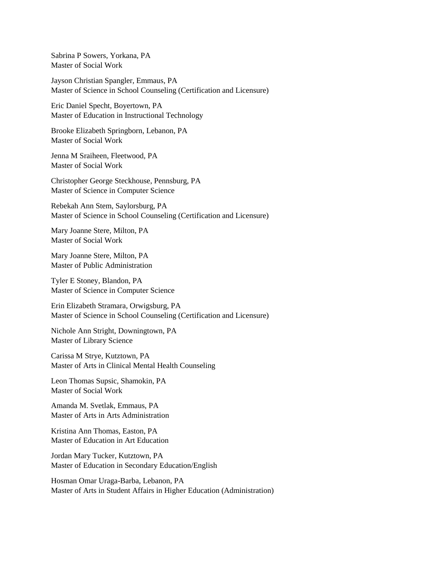Sabrina P Sowers, Yorkana, PA Master of Social Work

Jayson Christian Spangler, Emmaus, PA Master of Science in School Counseling (Certification and Licensure)

Eric Daniel Specht, Boyertown, PA Master of Education in Instructional Technology

Brooke Elizabeth Springborn, Lebanon, PA Master of Social Work

Jenna M Sraiheen, Fleetwood, PA Master of Social Work

Christopher George Steckhouse, Pennsburg, PA Master of Science in Computer Science

Rebekah Ann Stem, Saylorsburg, PA Master of Science in School Counseling (Certification and Licensure)

Mary Joanne Stere, Milton, PA Master of Social Work

Mary Joanne Stere, Milton, PA Master of Public Administration

Tyler E Stoney, Blandon, PA Master of Science in Computer Science

Erin Elizabeth Stramara, Orwigsburg, PA Master of Science in School Counseling (Certification and Licensure)

Nichole Ann Stright, Downingtown, PA Master of Library Science

Carissa M Strye, Kutztown, PA Master of Arts in Clinical Mental Health Counseling

Leon Thomas Supsic, Shamokin, PA Master of Social Work

Amanda M. Svetlak, Emmaus, PA Master of Arts in Arts Administration

Kristina Ann Thomas, Easton, PA Master of Education in Art Education

Jordan Mary Tucker, Kutztown, PA Master of Education in Secondary Education/English

Hosman Omar Uraga-Barba, Lebanon, PA Master of Arts in Student Affairs in Higher Education (Administration)